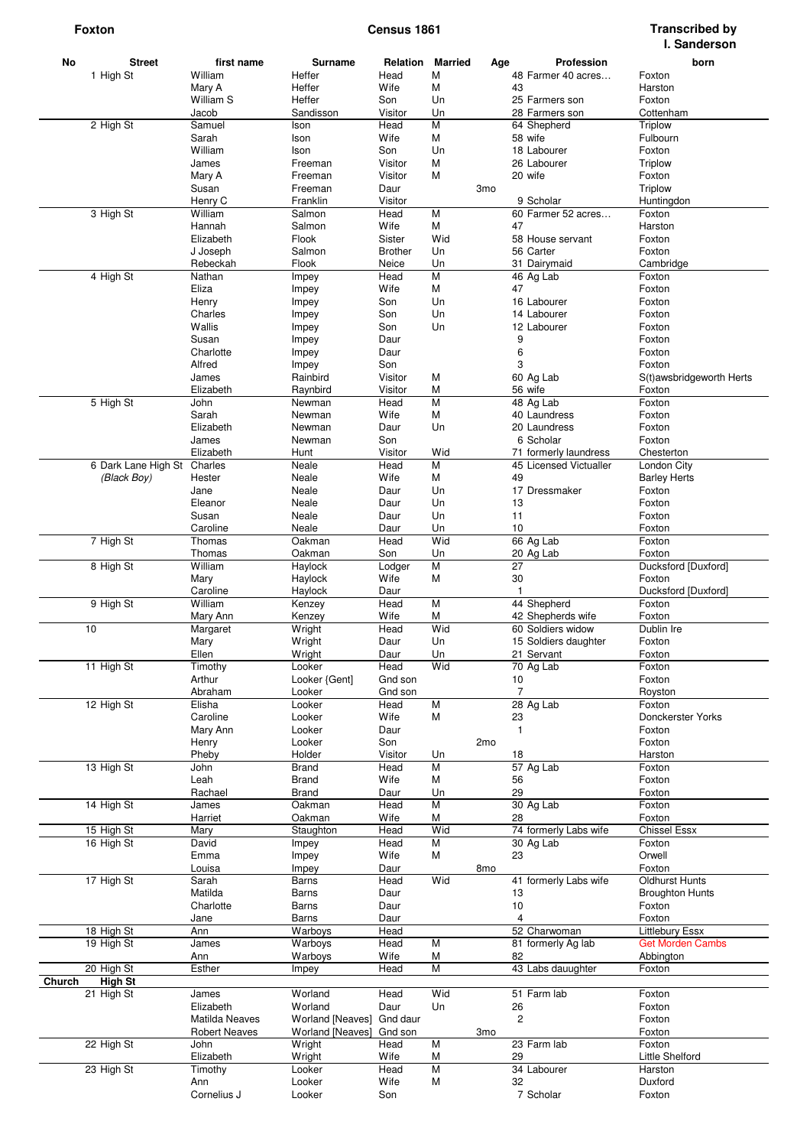| No<br><b>Street</b>      | first name           | Surname                 | Relation       | <b>Married</b> |                 |                | <b>Profession</b>      | born                     |
|--------------------------|----------------------|-------------------------|----------------|----------------|-----------------|----------------|------------------------|--------------------------|
| 1 High St                | William              | Heffer                  | Head           | М              | Age             |                | 48 Farmer 40 acres     | Foxton                   |
|                          | Mary A               | Heffer                  | Wife           | M              |                 | 43             |                        | Harston                  |
|                          | William S            | Heffer                  | Son            | Un             |                 |                | 25 Farmers son         | Foxton                   |
|                          | Jacob                | Sandisson               | Visitor        | Un             |                 |                | 28 Farmers son         | Cottenham                |
| 2 High St                | Samuel               | Ison                    | Head           | M              |                 |                | 64 Shepherd            | Triplow                  |
|                          | Sarah                | Ison                    | Wife           | М              |                 |                | 58 wife                | Fulbourn                 |
|                          | William              | Ison                    | Son            | Un             |                 |                | 18 Labourer            | Foxton                   |
|                          | James                | Freeman                 | Visitor        | M              |                 |                | 26 Labourer            | Triplow                  |
|                          | Mary A               | Freeman                 | Visitor        | M              |                 |                | 20 wife                | Foxton                   |
|                          | Susan                | Freeman                 | Daur           |                | 3 <sub>mo</sub> |                |                        | <b>Triplow</b>           |
|                          | Henry C              | Franklin                | Visitor        |                |                 |                | 9 Scholar              | Huntingdon               |
| 3 High St                | William              | Salmon                  | Head           | М              |                 |                | 60 Farmer 52 acres     | Foxton                   |
|                          | Hannah               | Salmon                  | Wife           | М              |                 | 47             |                        | Harston                  |
|                          | Elizabeth            | Flook                   | Sister         | Wid            |                 |                | 58 House servant       | Foxton                   |
|                          | J Joseph             | Salmon                  | <b>Brother</b> | Un             |                 |                | 56 Carter              | Foxton                   |
|                          | Rebeckah             | Flook                   | Neice          | Un             |                 |                | 31 Dairymaid           | Cambridge                |
| 4 High St                | Nathan               | Impey                   | Head           | M              |                 |                | 46 Ag Lab              | Foxton                   |
|                          | Eliza                | Impey                   | Wife           | М              |                 | 47             |                        | Foxton                   |
|                          | Henry                | Impey                   | Son            | Un             |                 |                | 16 Labourer            | Foxton                   |
|                          | Charles              | Impey                   | Son            | Un             |                 |                | 14 Labourer            | Foxton                   |
|                          | Wallis               | Impey                   | Son            | Un             |                 |                | 12 Labourer            | Foxton                   |
|                          | Susan                | Impey                   | Daur           |                |                 | 9              |                        | Foxton                   |
|                          | Charlotte            | Impey                   | Daur           |                |                 | 6              |                        | Foxton                   |
|                          | Alfred               | Impey                   | Son            |                |                 | 3              |                        | Foxton                   |
|                          | James                | Rainbird                | Visitor        | М              |                 |                | 60 Ag Lab              | S(t)awsbridgeworth Herts |
|                          | Elizabeth            | Raynbird                | Visitor        | М              |                 |                | 56 wife                | Foxton                   |
| 5 High St                | John                 | Newman                  | Head           | M              |                 |                | 48 Ag Lab              | Foxton                   |
|                          | Sarah                | Newman                  | Wife           | М              |                 |                | 40 Laundress           | Foxton                   |
|                          | Elizabeth            | Newman                  | Daur           | Un             |                 |                | 20 Laundress           | Foxton                   |
|                          | James                | Newman                  | Son            |                |                 |                | 6 Scholar              | Foxton                   |
|                          | Elizabeth            | Hunt                    | Visitor        | Wid            |                 |                | 71 formerly laundress  | Chesterton               |
| 6 Dark Lane High St      | Charles              | Neale                   | Head           | М              |                 |                | 45 Licensed Victualler | London City              |
| (Black Boy)              | Hester               | Neale                   | Wife           | М              |                 | 49             |                        | <b>Barley Herts</b>      |
|                          | Jane                 | Neale                   | Daur           | Un             |                 |                | 17 Dressmaker          | Foxton                   |
|                          | Eleanor              | Neale                   | Daur           | Un             |                 | 13             |                        | Foxton                   |
|                          | Susan                | Neale                   | Daur           | Un             |                 | 11             |                        | Foxton                   |
|                          |                      |                         |                |                |                 | 10             |                        |                          |
|                          | Caroline             | Neale                   | Daur<br>Head   | Un<br>Wid      |                 |                | 66 Ag Lab              | Foxton                   |
| 7 High St                | Thomas               | Oakman                  |                |                |                 |                |                        | Foxton                   |
|                          | Thomas               | Oakman                  | Son            | Un<br>M        |                 | 27             | 20 Ag Lab              | Foxton                   |
| 8 High St                | William              | Haylock                 | Lodger         |                |                 |                |                        | Ducksford [Duxford]      |
|                          | Mary                 | Haylock                 | Wife           | M              |                 | 30             |                        | Foxton                   |
|                          | Caroline             | Haylock                 | Daur           |                |                 | $\mathbf{1}$   |                        | Ducksford [Duxford]      |
| 9 High St                | William              | Kenzey                  | Head           | M              |                 |                | 44 Shepherd            | Foxton                   |
|                          | Mary Ann             | Kenzey                  | Wife           | М              |                 |                | 42 Shepherds wife      | Foxton                   |
| 10                       | Margaret             | Wright                  | Head           | Wid            |                 |                | 60 Soldiers widow      | Dublin Ire               |
|                          | Mary                 | Wright                  | Daur           | Un             |                 |                | 15 Soldiers daughter   | Foxton                   |
|                          | Ellen                | Wright                  | Daur           | Un             |                 |                | 21 Servant             | Foxton                   |
| 11 High St               | Timothy              | Looker                  | Head           | Wid            |                 |                | 70 Ag Lab              | Foxton                   |
|                          | Arthur               | Looker {Gent]           | Gnd son        |                |                 | 10             |                        | Foxton                   |
|                          | Abraham              | Looker                  | Gnd son        |                |                 | $\overline{7}$ |                        | Royston                  |
| 12 High St               | Elisha               | Looker                  | Head           | M              |                 |                | 28 Ag Lab              | Foxton                   |
|                          | Caroline             | Looker                  | Wife           | М              |                 | 23             |                        | Donckerster Yorks        |
|                          | Mary Ann             | Looker                  | Daur           |                |                 | $\mathbf{1}$   |                        | Foxton                   |
|                          | Henry                | Looker                  | Son            |                | 2 <sub>mo</sub> |                |                        | Foxton                   |
|                          | Pheby                | Holder                  | Visitor        | Un             |                 | 18             |                        | Harston                  |
| 13 High St               | John                 | <b>Brand</b>            | Head           | М              |                 |                | 57 Ag Lab              | Foxton                   |
|                          | Leah                 | <b>Brand</b>            | Wife           | M              |                 | 56             |                        | Foxton                   |
|                          | Rachael              | <b>Brand</b>            | Daur           | Un             |                 | 29             |                        | Foxton                   |
| 14 High St               | James                | Oakman                  | Head           | M              |                 |                | 30 Ag Lab              | Foxton                   |
|                          | Harriet              | Oakman                  | Wife           | M              |                 | 28             |                        | Foxton                   |
| 15 High St               | Mary                 | Staughton               | Head           | Wid            |                 |                | 74 formerly Labs wife  | <b>Chissel Essx</b>      |
| 16 High St               | David                | Impey                   | Head           | М              |                 |                | 30 Ag Lab              | Foxton                   |
|                          | Emma                 | Impey                   | Wife           | М              |                 | 23             |                        | Orwell                   |
|                          | Louisa               | Impey                   | Daur           |                | 8 <sub>mo</sub> |                |                        | Foxton                   |
| 17 High St               | Sarah                | <b>Barns</b>            | Head           | Wid            |                 |                | 41 formerly Labs wife  | <b>Oldhurst Hunts</b>    |
|                          | Matilda              | <b>Barns</b>            | Daur           |                |                 | 13             |                        | <b>Broughton Hunts</b>   |
|                          | Charlotte            | Barns                   | Daur           |                |                 | 10             |                        | Foxton                   |
|                          | Jane                 | Barns                   | Daur           |                |                 | 4              |                        | Foxton                   |
| 18 High St               | Ann                  | Warboys                 | Head           |                |                 |                | 52 Charwoman           | <b>Littlebury Essx</b>   |
| 19 High St               | James                | Warboys                 | Head           | M              |                 |                | 81 formerly Ag lab     | <b>Get Morden Cambs</b>  |
|                          | Ann                  | Warboys                 | Wife           | М              |                 | 82             |                        | Abbington                |
| 20 High St               | Esther               | Impey                   | Head           | M              |                 |                | 43 Labs dauughter      | Foxton                   |
| <b>High St</b><br>Church |                      |                         |                |                |                 |                |                        |                          |
| 21 High St               | James                | Worland                 | Head           | Wid            |                 |                | 51 Farm lab            | Foxton                   |
|                          | Elizabeth            | Worland                 | Daur           | Un             |                 | 26             |                        | Foxton                   |
|                          | Matilda Neaves       | Worland [Neaves]        | Gnd daur       |                |                 | $\overline{2}$ |                        | Foxton                   |
|                          | <b>Robert Neaves</b> | <b>Worland [Neaves]</b> | Gnd son        |                | 3 <sub>mo</sub> |                |                        | Foxton                   |
| 22 High St               | John                 | Wright                  | Head           | M              |                 |                | 23 Farm lab            | Foxton                   |
|                          | Elizabeth            | Wright                  | Wife           | М              |                 | 29             |                        | Little Shelford          |
| 23 High St               | Timothy              | Looker                  | Head           | M              |                 |                | 34 Labourer            | Harston                  |
|                          | Ann                  | Looker                  | Wife           | M              |                 | 32             |                        | Duxford                  |
|                          | Cornelius J          | Looker                  | Son            |                |                 |                | 7 Scholar              | Foxton                   |
|                          |                      |                         |                |                |                 |                |                        |                          |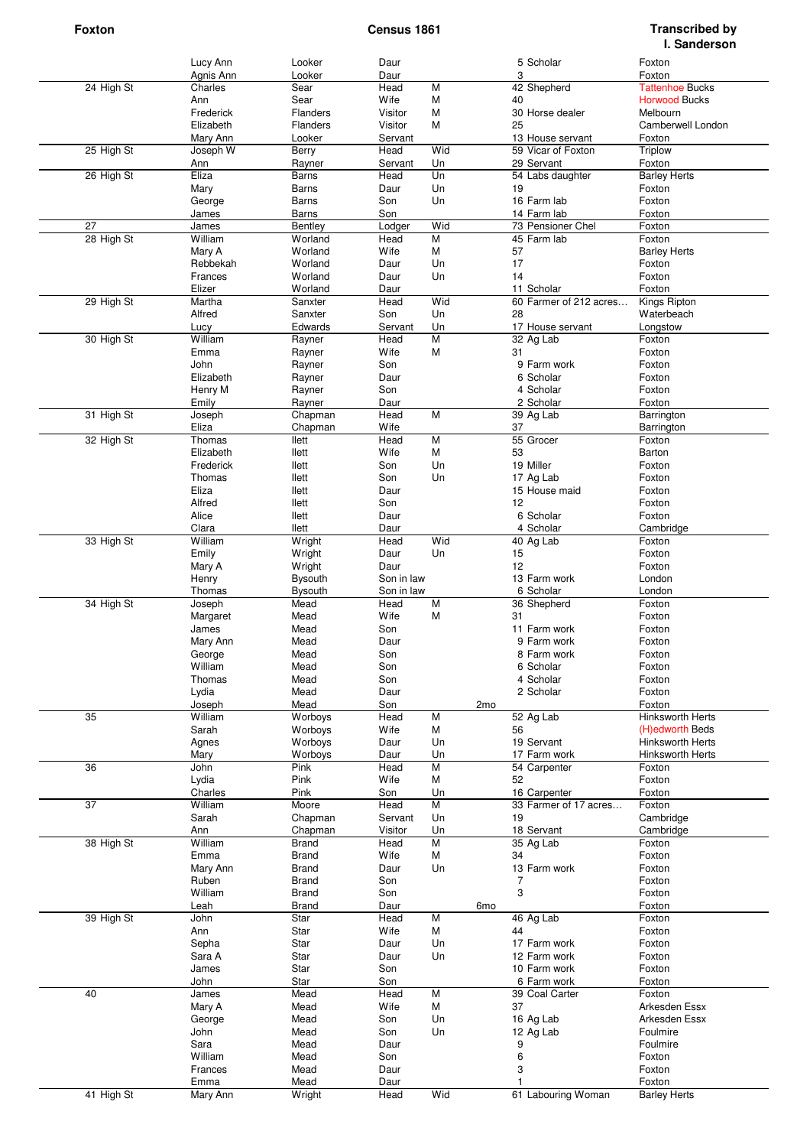|                 | Lucy Ann        | Looker          | Daur        |                |     | 5 Scholar              | Foxton                  |
|-----------------|-----------------|-----------------|-------------|----------------|-----|------------------------|-------------------------|
|                 | Agnis Ann       | Looker          | Daur        |                |     | 3                      | Foxton                  |
| 24 High St      | Charles         | Sear            | Head        | M              |     | 42 Shepherd            | <b>Tattenhoe Bucks</b>  |
|                 | Ann             | Sear            | Wife        | M              | 40  |                        | <b>Horwood Bucks</b>    |
|                 | Frederick       | Flanders        | Visitor     | M              |     | 30 Horse dealer        | Melbourn                |
|                 | Elizabeth       | <b>Flanders</b> | Visitor     | М              | 25  |                        | Camberwell London       |
|                 | Mary Ann        | Looker          | Servant     |                |     | 13 House servant       | Foxton                  |
| 25 High St      | Joseph W        | Berry           | Head        | Wid            |     | 59 Vicar of Foxton     | Triplow                 |
|                 | Ann             | Rayner          | Servant     | Un             |     | 29 Servant             | Foxton                  |
| 26 High St      | Eliza           | Barns           | Head        | Un             |     | 54 Labs daughter       | <b>Barley Herts</b>     |
|                 | Mary            | <b>Barns</b>    | Daur        | Un             | 19  |                        | Foxton                  |
|                 | George          | Barns           | Son         | Un             |     | 16 Farm lab            | Foxton                  |
|                 | James           | Barns           | Son         |                |     | 14 Farm lab            | Foxton                  |
| 27              | James           | Bentley         | Lodger      | Wid            |     | 73 Pensioner Chel      | Foxton                  |
| 28 High St      | William         | Worland         | Head        | M              |     | 45 Farm lab            | Foxton                  |
|                 | Mary A          | Worland         | Wife        | М              | 57  |                        | <b>Barley Herts</b>     |
|                 | Rebbekah        | Worland         | Daur        | Un             | 17  |                        | Foxton                  |
|                 | Frances         | Worland         | Daur        | Un             | 14  |                        | Foxton                  |
|                 | Elizer          | Worland         | Daur        |                |     | 11 Scholar             | Foxton                  |
| 29 High St      | Martha          | Sanxter         | Head        | Wid            |     | 60 Farmer of 212 acres | Kings Ripton            |
|                 | Alfred          | Sanxter         | Son         | Un             | 28  |                        | Waterbeach              |
|                 | Lucy<br>William | Edwards         | Servant     | Un             |     | 17 House servant       | Longstow                |
| 30 High St      |                 | Rayner          | Head        | $\overline{M}$ |     | 32 Ag Lab              | Foxton                  |
|                 | Emma            | Rayner          | Wife        | M              | 31  |                        | Foxton                  |
|                 | John            | Rayner          | Son         |                |     | 9 Farm work            | Foxton                  |
|                 | Elizabeth       | Rayner          | Daur        |                |     | 6 Scholar              | Foxton                  |
|                 | Henry M         | Rayner          | Son         |                |     | 4 Scholar              | Foxton                  |
|                 | Emily           | Rayner          | Daur        |                |     | 2 Scholar              | Foxton                  |
| 31 High St      | Joseph          | Chapman         | Head        | M              |     | 39 Ag Lab              | Barrington              |
|                 | Eliza           | Chapman         | Wife        |                | 37  |                        | Barrington              |
| 32 High St      | Thomas          | llett           | Head        | $\overline{M}$ |     | 55 Grocer              | Foxton                  |
|                 | Elizabeth       | llett           | Wife        | М              | 53  |                        | Barton                  |
|                 | Frederick       | llett           | Son         | Un             |     | 19 Miller              | Foxton                  |
|                 | Thomas          | llett           | Son         | Un             |     | 17 Ag Lab              | Foxton                  |
|                 | Eliza           | llett           | Daur        |                |     | 15 House maid          | Foxton                  |
|                 | Alfred          | llett           | Son         |                | 12  |                        | Foxton                  |
|                 | Alice           | llett           | Daur        |                |     | 6 Scholar              | Foxton                  |
|                 | Clara           | llett           | Daur        |                |     | 4 Scholar              | Cambridge               |
| 33 High St      | William         | Wright          | Head        | Wid            |     | 40 Ag Lab              | Foxton                  |
|                 | Emily           | Wright          | Daur        | Un             | 15  |                        | Foxton                  |
|                 | Mary A          | Wright          | Daur        |                | 12  |                        | Foxton                  |
|                 | Henry           | <b>Bysouth</b>  | Son in law  |                |     | 13 Farm work           | London                  |
|                 | Thomas          | Bysouth         | Son in law  |                |     | 6 Scholar              | London                  |
| 34 High St      | Joseph          | Mead            | Head        | M              |     | 36 Shepherd            | Foxton                  |
|                 | Margaret        | Mead            | Wife        | M              | 31  |                        | Foxton                  |
|                 | James           | Mead            | Son         |                |     | 11 Farm work           | Foxton                  |
|                 | Mary Ann        | Mead            | Daur        |                |     | 9 Farm work            | Foxton                  |
|                 | George          | Mead            | Son         |                |     | 8 Farm work            | Foxton                  |
|                 | William         | Mead            | Son         |                |     | 6 Scholar              | Foxton                  |
|                 | Thomas          | Mead            | Son         |                |     | 4 Scholar              | Foxton                  |
|                 | Lydia           | Mead            | Daur        |                |     | 2 Scholar              | Foxton                  |
|                 | Joseph          | Mead            | Son         |                | 2mo |                        | Foxton                  |
| 35              | William         | Worboys         | Head        | M              |     | 52 Ag Lab              | Hinksworth Herts        |
|                 | Sarah           | Worboys         | Wife        | M              | 56  |                        | (H)edworth Beds         |
|                 | Agnes           | Worboys         | Daur        | Un             |     | 19 Servant             | <b>Hinksworth Herts</b> |
|                 | Mary            | Worboys         | Daur        | Un             |     | 17 Farm work           | Hinksworth Herts        |
| 36              | John            | Pink            | Head        | М              |     | 54 Carpenter           | Foxton                  |
|                 | Lydia           | Pink            | Wife        | M              | 52  |                        | Foxton                  |
|                 | Charles         | Pink            | Son         | Un             |     | 16 Carpenter           | Foxton                  |
| $\overline{37}$ | William         | Moore           | Head        | $\overline{M}$ |     | 33 Farmer of 17 acres  | Foxton                  |
|                 | Sarah           | Chapman         | Servant     | Un             | 19  |                        | Cambridge               |
|                 | Ann             | Chapman         | Visitor     | Un             |     | 18 Servant             | Cambridge               |
| 38 High St      | William         | Brand           | Head        | $\overline{M}$ |     | $\overline{35}$ Ag Lab | Foxton                  |
|                 | Emma            | <b>Brand</b>    | Wife        | М              | 34  |                        | Foxton                  |
|                 | Mary Ann        | <b>Brand</b>    | Daur        | Un             |     | 13 Farm work           | Foxton                  |
|                 | Ruben           | <b>Brand</b>    | Son         |                |     | 7                      | Foxton                  |
|                 | William         | <b>Brand</b>    | Son         |                |     | 3                      | Foxton                  |
|                 | Leah            | <b>Brand</b>    | Daur        |                | 6mo |                        | Foxton                  |
| 39 High St      | John            | Star            | Head        | M              |     | 46 Ag Lab              | Foxton                  |
|                 | Ann             | Star            | Wife        | М              | 44  |                        | Foxton                  |
|                 | Sepha           | Star            | Daur        | Un             |     | 17 Farm work           | Foxton                  |
|                 | Sara A          | Star            | Daur        | Un             |     | 12 Farm work           | Foxton                  |
|                 | James           | Star            | Son         |                |     | 10 Farm work           | Foxton                  |
|                 | John            | Star            | Son         |                |     | 6 Farm work            | Foxton                  |
| 40              | James           | Mead            | Head        | M              |     | 39 Coal Carter         | Foxton                  |
|                 | Mary A          | Mead            | Wife        | M              | 37  |                        | Arkesden Essx           |
|                 | George          | Mead            | Son         | Un             |     | 16 Ag Lab              | Arkesden Essx           |
|                 | John            | Mead            | Son         | Un             |     | 12 Ag Lab              | Foulmire                |
|                 | Sara            | Mead            |             |                |     | 9                      |                         |
|                 | William         | Mead            | Daur<br>Son |                |     |                        | Foulmire                |
|                 |                 |                 |             |                |     | 6<br>3                 | Foxton                  |
|                 | Frances         | Mead            | Daur        |                |     |                        | Foxton                  |
|                 | Emma            | Mead            | Daur        |                |     |                        | Foxton                  |
| 41 High St      | Mary Ann        | Wright          | Head        | Wid            |     | 61 Labouring Woman     | <b>Barley Herts</b>     |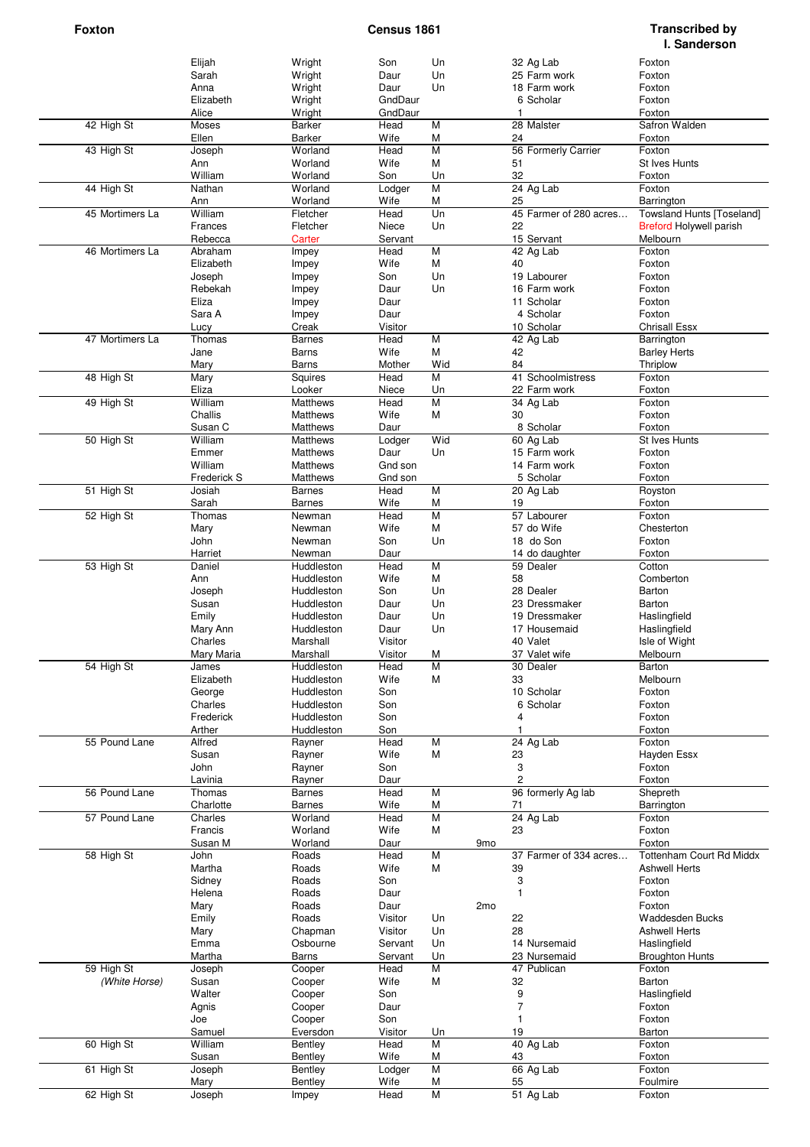|                 | Elijah      | Wright        | Son     | Un             |                 |                | 32 Ag Lab              | Foxton                           |
|-----------------|-------------|---------------|---------|----------------|-----------------|----------------|------------------------|----------------------------------|
|                 | Sarah       | Wright        | Daur    | Un             |                 |                | 25 Farm work           | Foxton                           |
|                 | Anna        | Wright        | Daur    | Un             |                 |                | 18 Farm work           | Foxton                           |
|                 | Elizabeth   | Wright        | GndDaur |                |                 |                | 6 Scholar              | Foxton                           |
|                 | Alice       | Wright        | GndDaur |                |                 | $\mathbf{1}$   |                        | Foxton                           |
| 42 High St      | Moses       | Barker        | Head    | M              |                 |                | 28 Malster             | Safron Walden                    |
|                 | Ellen       | Barker        | Wife    | M              |                 | 24             |                        | Foxton                           |
| 43 High St      | Joseph      | Worland       | Head    | M              |                 |                | 56 Formerly Carrier    | Foxton                           |
|                 | Ann         | Worland       | Wife    | M              |                 | 51             |                        | St Ives Hunts                    |
|                 | William     | Worland       | Son     | Un             |                 | 32             |                        | Foxton                           |
| 44 High St      | Nathan      | Worland       | Lodger  | $\overline{M}$ |                 |                | 24 Ag Lab              | Foxton                           |
|                 | Ann         | Worland       | Wife    | M              |                 | 25             |                        | Barrington                       |
| 45 Mortimers La | William     | Fletcher      | Head    | Un             |                 |                | 45 Farmer of 280 acres | <b>Towsland Hunts [Toseland]</b> |
|                 | Frances     | Fletcher      | Niece   | Un             |                 | 22             |                        | <b>Breford Holywell parish</b>   |
|                 | Rebecca     | Carter        | Servant |                |                 |                | 15 Servant             | Melbourn                         |
| 46 Mortimers La | Abraham     | Impey         | Head    | $\overline{M}$ |                 |                | 42 Ag Lab              | Foxton                           |
|                 | Elizabeth   | Impey         | Wife    | M              |                 | 40             |                        | Foxton                           |
|                 | Joseph      | Impey         | Son     | Un             |                 |                | 19 Labourer            | Foxton                           |
|                 | Rebekah     |               | Daur    | Un             |                 |                | 16 Farm work           | Foxton                           |
|                 | Eliza       | Impey         |         |                |                 |                | 11 Scholar             |                                  |
|                 |             | Impey         | Daur    |                |                 |                |                        | Foxton                           |
|                 | Sara A      | Impey         | Daur    |                |                 |                | 4 Scholar              | Foxton                           |
|                 | Lucy        | Creak         | Visitor |                |                 |                | 10 Scholar             | <b>Chrisall Essx</b>             |
| 47 Mortimers La | Thomas      | Barnes        | Head    | M              |                 |                | 42 Ag Lab              | Barrington                       |
|                 | Jane        | Barns         | Wife    | M              |                 | 42             |                        | <b>Barley Herts</b>              |
|                 | Mary        | Barns         | Mother  | Wid            |                 | 84             |                        | Thriplow                         |
| 48 High St      | Mary        | Squires       | Head    | M              |                 |                | 41 Schoolmistress      | Foxton                           |
|                 | Eliza       | Looker        | Niece   | Un             |                 |                | 22 Farm work           | Foxton                           |
| 49 High St      | William     | Matthews      | Head    | $\overline{M}$ |                 |                | 34 Ag Lab              | Foxton                           |
|                 | Challis     | Matthews      | Wife    | M              |                 | 30             |                        | Foxton                           |
|                 | Susan C     | Matthews      | Daur    |                |                 |                | 8 Scholar              | Foxton                           |
| 50 High St      | William     | Matthews      | Lodger  | Wid            |                 |                | 60 Ag Lab              | St Ives Hunts                    |
|                 | Emmer       | Matthews      | Daur    | Un             |                 |                | 15 Farm work           | Foxton                           |
|                 | William     | Matthews      | Gnd son |                |                 |                | 14 Farm work           | Foxton                           |
|                 | Frederick S | Matthews      | Gnd son |                |                 |                | 5 Scholar              | Foxton                           |
| 51 High St      | Josiah      | Barnes        | Head    | M              |                 |                | 20 Ag Lab              | Royston                          |
|                 | Sarah       | <b>Barnes</b> | Wife    | M              |                 | 19             |                        | Foxton                           |
|                 |             |               |         | M              |                 |                |                        |                                  |
| 52 High St      | Thomas      | Newman        | Head    |                |                 |                | 57 Labourer            | Foxton                           |
|                 | Mary        | Newman        | Wife    | M              |                 |                | 57 do Wife             | Chesterton                       |
|                 | John        | Newman        | Son     | Un             |                 |                | 18 do Son              | Foxton                           |
|                 | Harriet     | Newman        | Daur    |                |                 |                | 14 do daughter         | Foxton                           |
| 53 High St      | Daniel      | Huddleston    | Head    | M              |                 |                | 59 Dealer              | Cotton                           |
|                 | Ann         | Huddleston    | Wife    | M              |                 | 58             |                        | Comberton                        |
|                 | Joseph      | Huddleston    | Son     | Un             |                 |                | 28 Dealer              | Barton                           |
|                 | Susan       | Huddleston    | Daur    | Un             |                 |                | 23 Dressmaker          | Barton                           |
|                 | Emily       | Huddleston    | Daur    | Un             |                 |                | 19 Dressmaker          | Haslingfield                     |
|                 | Mary Ann    | Huddleston    | Daur    | Un             |                 |                | 17 Housemaid           | Haslingfield                     |
|                 | Charles     | Marshall      | Visitor |                |                 |                | 40 Valet               | Isle of Wight                    |
|                 | Mary Maria  | Marshall      | Visitor | М              |                 |                | 37 Valet wife          | Melbourn                         |
| 54 High St      | James       | Huddleston    | Head    | M              |                 |                | 30 Dealer              | Barton                           |
|                 | Elizabeth   | Huddleston    | Wife    | М              |                 | 33             |                        | Melbourn                         |
|                 | George      | Huddleston    | Son     |                |                 |                | 10 Scholar             | Foxton                           |
|                 | Charles     | Huddleston    | Son     |                |                 |                | 6 Scholar              | Foxton                           |
|                 | Frederick   | Huddleston    | Son     |                |                 | 4              |                        | Foxton                           |
|                 | Arther      | Huddleston    | Son     |                |                 | 1              |                        | Foxton                           |
| 55 Pound Lane   | Alfred      | Rayner        | Head    | M              |                 |                | 24 Ag Lab              | Foxton                           |
|                 |             |               | Wife    | M              |                 |                |                        |                                  |
|                 | Susan       | Rayner        |         |                |                 | 23             |                        | Hayden Essx                      |
|                 | John        | Rayner        | Son     |                |                 | 3              |                        | Foxton                           |
|                 | Lavinia     | Rayner        | Daur    |                |                 | $\overline{c}$ |                        | Foxton                           |
| 56 Pound Lane   | Thomas      | Barnes        | Head    | M              |                 |                | 96 formerly Ag lab     | Shepreth                         |
|                 | Charlotte   | <b>Barnes</b> | Wife    | M              |                 | 71             |                        | Barrington                       |
| 57 Pound Lane   | Charles     | Worland       | Head    | M              |                 |                | 24 Ag Lab              | Foxton                           |
|                 | Francis     | Worland       | Wife    | M              |                 | 23             |                        | Foxton                           |
|                 | Susan M     | Worland       | Daur    |                | 9 <sub>mo</sub> |                |                        | Foxton                           |
| 58 High St      | John        | Roads         | Head    | $\overline{M}$ |                 |                | 37 Farmer of 334 acres | <b>Tottenham Court Rd Middx</b>  |
|                 | Martha      | Roads         | Wife    | M              |                 | 39             |                        | <b>Ashwell Herts</b>             |
|                 | Sidney      | Roads         | Son     |                |                 | 3              |                        | Foxton                           |
|                 | Helena      | Roads         | Daur    |                |                 | $\mathbf{1}$   |                        | Foxton                           |
|                 | Mary        | Roads         | Daur    |                | 2 <sub>mo</sub> |                |                        | Foxton                           |
|                 | Emily       | Roads         | Visitor | Un             |                 | 22             |                        | Waddesden Bucks                  |
|                 | Mary        | Chapman       | Visitor | Un             |                 | 28             |                        | <b>Ashwell Herts</b>             |
|                 | Emma        | Osbourne      | Servant | Un             |                 |                | 14 Nursemaid           | Haslingfield                     |
|                 | Martha      | Barns         | Servant | Un             |                 |                | 23 Nursemaid           | <b>Broughton Hunts</b>           |
| 59 High St      | Joseph      | Cooper        | Head    | M              |                 |                | 47 Publican            | Foxton                           |
| (White Horse)   | Susan       | Cooper        | Wife    | M              |                 | 32             |                        | Barton                           |
|                 | Walter      | Cooper        | Son     |                |                 | 9              |                        |                                  |
|                 |             |               |         |                |                 | $\overline{7}$ |                        | Haslingfield                     |
|                 | Agnis       | Cooper        | Daur    |                |                 |                |                        | Foxton                           |
|                 | Joe         | Cooper        | Son     |                |                 | $\mathbf{1}$   |                        | Foxton                           |
|                 | Samuel      | Eversdon      | Visitor | Un             |                 | 19             |                        | Barton                           |
| 60 High St      | William     | Bentley       | Head    | M              |                 |                | 40 Ag Lab              | Foxton                           |
|                 | Susan       | Bentley       | Wife    | M              |                 | 43             |                        | Foxton                           |
| 61 High St      | Joseph      | Bentley       | Lodger  | M              |                 |                | 66 Ag Lab              | Foxton                           |
|                 | Mary        | Bentley       | Wife    | M              |                 | 55             |                        | Foulmire                         |
| 62 High St      | Joseph      | Impey         | Head    | $\overline{M}$ |                 |                | 51 Ag Lab              | Foxton                           |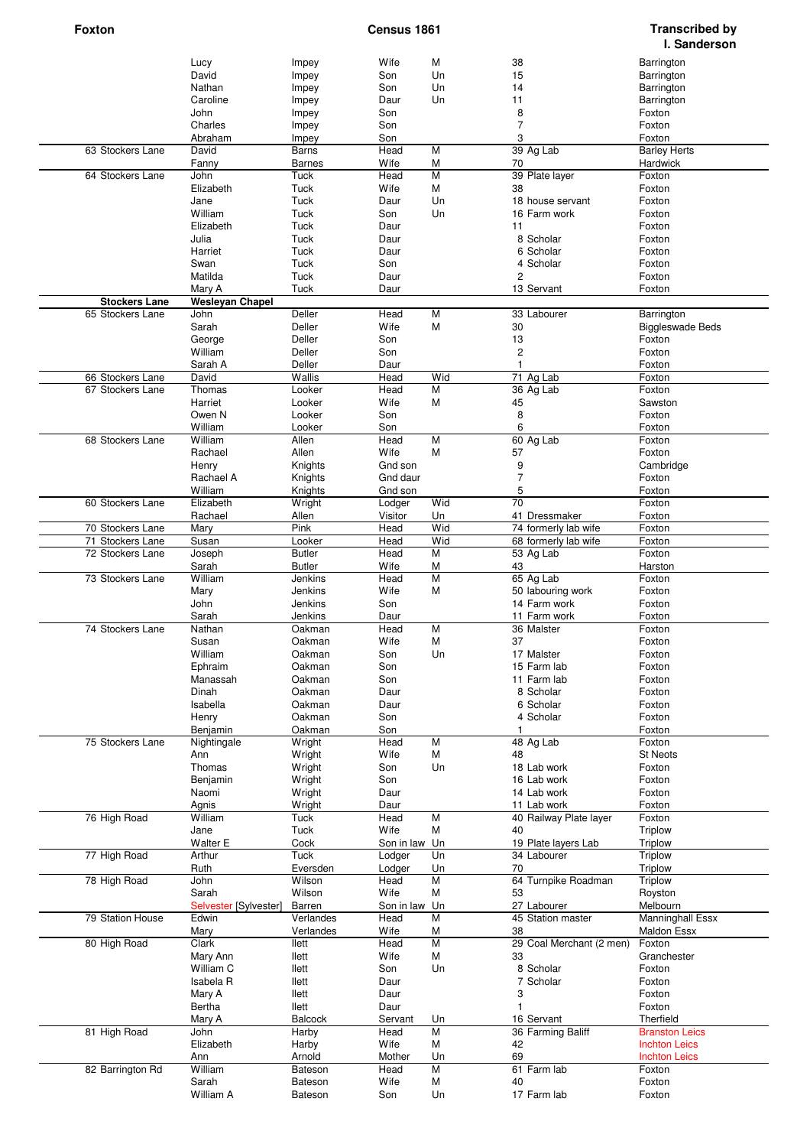| David<br>Un<br>15<br>Son<br>Barrington<br>Impey<br>Un<br>14<br>Nathan<br>Son<br>Barrington<br>Impey<br>Un<br>Caroline<br>Daur<br>11<br>Barrington<br>Impey<br>8<br>John<br>Son<br>Foxton<br>Impey<br>$\overline{7}$<br>Charles<br>Son<br>Foxton<br>Impey<br>3<br>Abraham<br>Son<br>Foxton<br>Impey<br>63 Stockers Lane<br>David<br>Head<br>M<br>39 Ag Lab<br><b>Barley Herts</b><br>Barns<br>70<br>Fanny<br>Barnes<br>Wife<br>M<br>Hardwick<br>$\overline{M}$<br>Foxton<br>64 Stockers Lane<br>John<br>Tuck<br>Head<br>39 Plate layer<br>Elizabeth<br>Tuck<br>Wife<br>M<br>38<br>Foxton<br>Tuck<br>Un<br>18 house servant<br>Jane<br>Daur<br>Foxton<br>William<br>Tuck<br>Un<br>Son<br>16 Farm work<br>Foxton<br>Tuck<br>Elizabeth<br>Daur<br>11<br>Foxton<br>8 Scholar<br>Tuck<br>Julia<br>Daur<br>Foxton<br>Tuck<br>Harriet<br>Daur<br>6 Scholar<br>Foxton<br>Tuck<br>Son<br>Swan<br>4 Scholar<br>Foxton<br>Matilda<br>$\overline{c}$<br>Tuck<br>Daur<br>Foxton<br>13 Servant<br>Mary A<br>Tuck<br>Daur<br>Foxton<br><b>Wesleyan Chapel</b><br><b>Stockers Lane</b><br>M<br>65 Stockers Lane<br>Deller<br>33 Labourer<br>Barrington<br>John<br>Head<br>Sarah<br>Deller<br>Wife<br>M<br>30<br><b>Biggleswade Beds</b><br>Deller<br>13<br>George<br>Son<br>Foxton<br>$\overline{\mathbf{c}}$<br>William<br>Deller<br>Son<br>Foxton<br>Deller<br>$\mathbf{1}$<br>Sarah A<br>Daur<br>Foxton<br>Wid<br>66 Stockers Lane<br>David<br>Wallis<br>Head<br>71 Ag Lab<br>Foxton<br>67 Stockers Lane<br>M<br>36 Ag Lab<br>Thomas<br>Looker<br>Head<br>Foxton<br>Wife<br>M<br>45<br>Harriet<br>Looker<br>Sawston<br>8<br>Owen N<br>Looker<br>Son<br>Foxton<br>6<br>William<br>Looker<br>Son<br>Foxton<br>60 Ag Lab<br>68 Stockers Lane<br>William<br>Allen<br>Head<br>M<br>Foxton<br>Rachael<br>Allen<br>Wife<br>M<br>57<br>Foxton<br>9<br>Henry<br>Knights<br>Gnd son<br>Cambridge<br>$\overline{7}$<br>Rachael A<br>Gnd daur<br>Knights<br>Foxton<br>5<br>William<br>Knights<br>Gnd son<br>Foxton<br>$\overline{70}$<br>Wid<br>60 Stockers Lane<br>Elizabeth<br>Wright<br>Foxton<br>Lodger<br>Rachael<br>Allen<br>41 Dressmaker<br>Visitor<br>Un<br>Foxton<br>Pink<br>Wid<br>70 Stockers Lane<br>Head<br>74 formerly lab wife<br>Foxton<br>Mary<br>Wid<br>71 Stockers Lane<br>Susan<br>Looker<br>Head<br>68 formerly lab wife<br>Foxton<br>$\overline{M}$<br>72 Stockers Lane<br><b>Butler</b><br>Head<br>53 Ag Lab<br>Foxton<br>Joseph<br><b>Butler</b><br>M<br>43<br>Sarah<br>Wife<br>Harston<br>$\overline{M}$<br>65 Ag Lab<br>73 Stockers Lane<br>William<br>Jenkins<br>Head<br>Foxton<br>Jenkins<br>Wife<br>M<br>Mary<br>50 labouring work<br>Foxton<br>Son<br>John<br>Jenkins<br>14 Farm work<br>Foxton<br>Sarah<br>Jenkins<br>Daur<br>11 Farm work<br>Foxton<br>$\overline{M}$<br>74 Stockers Lane<br>Nathan<br>Head<br>36 Malster<br>Foxton<br>Oakman<br>Wife<br>M<br>37<br>Susan<br>Oakman<br>Foxton<br>Un<br>17 Malster<br>William<br>Oakman<br>Son<br>Foxton<br>Ephraim<br>Oakman<br>Son<br>15 Farm lab<br>Foxton<br>Manassah<br>Oakman<br>Son<br>11 Farm lab<br>Foxton<br>8 Scholar<br>Dinah<br>Oakman<br>Daur<br>Foxton<br>6 Scholar<br>Isabella<br>Oakman<br>Daur<br>Foxton<br>Henry<br>Oakman<br>Son<br>4 Scholar<br>Foxton<br>Benjamin<br>Oakman<br>Son<br>Foxton<br>1<br>75 Stockers Lane<br>Wright<br>Head<br>M<br>48 Ag Lab<br>Nightingale<br>Foxton<br>Wife<br>М<br>Ann<br>Wright<br>48<br><b>St Neots</b><br>Thomas<br>Un<br>Wright<br>Son<br>18 Lab work<br>Foxton<br>Benjamin<br>16 Lab work<br>Wright<br>Son<br>Foxton<br>Naomi<br>Wright<br>Daur<br>14 Lab work<br>Foxton<br>Agnis<br>Wright<br>Daur<br>11 Lab work<br>Foxton<br>$\overline{M}$<br>76 High Road<br>William<br>Head<br>40 Railway Plate layer<br>Tuck<br>Foxton<br>Tuck<br>Wife<br>M<br>40<br>Triplow<br>Jane<br>Walter E<br>19 Plate layers Lab<br>Cock<br>Son in law Un<br><b>Triplow</b><br>77 High Road<br>Tuck<br>Arthur<br>Lodger<br>Un<br>34 Labourer<br>Triplow<br>70<br>Ruth<br>Eversden<br>Lodger<br>Un<br><b>Triplow</b><br>64 Turnpike Roadman<br>78 High Road<br>Wilson<br>M<br>John<br>Head<br>Triplow<br>Wilson<br>Wife<br>Sarah<br>М<br>53<br>Royston<br>27 Labourer<br>Selvester [Sylvester]<br>Barren<br>Son in law Un<br>Melbourn<br>79 Station House<br>Verlandes<br>Head<br>M<br>45 Station master<br>Manninghall Essx<br>Edwin<br>Wife<br>Verlandes<br>M<br>38<br><b>Maldon Essx</b><br>Mary<br>$\overline{M}$<br>80 High Road<br>Clark<br>Head<br>29 Coal Merchant (2 men)<br>llett<br>Foxton<br>Mary Ann<br>llett<br>Wife<br>М<br>33<br>Granchester<br>William C<br>Un<br>8 Scholar<br>llett<br>Son<br>Foxton<br>Isabela R<br>llett<br>Daur<br>7 Scholar<br>Foxton<br>3<br>Mary A<br>llett<br>Daur<br>Foxton<br>Bertha<br>llett<br>Daur<br>$\mathbf{1}$<br>Foxton<br><b>Balcock</b><br>Servant<br>Un<br>16 Servant<br>Therfield<br>Mary A<br>81 High Road<br>M<br>36 Farming Baliff<br>John<br>Harby<br>Head<br><b>Branston Leics</b><br>Elizabeth<br>Harby<br>Wife<br>M<br>42<br><b>Inchton Leics</b><br>69<br>Ann<br>Arnold<br>Mother<br>Un<br><b>Inchton Leics</b><br>82 Barrington Rd<br>William<br>M<br>61 Farm lab<br>Bateson<br>Head<br>Foxton<br>Sarah<br>Wife<br>M<br>40<br>Foxton<br>Bateson | Lucy      | Impey   | Wife | M  | 38 |             | Barrington |
|---------------------------------------------------------------------------------------------------------------------------------------------------------------------------------------------------------------------------------------------------------------------------------------------------------------------------------------------------------------------------------------------------------------------------------------------------------------------------------------------------------------------------------------------------------------------------------------------------------------------------------------------------------------------------------------------------------------------------------------------------------------------------------------------------------------------------------------------------------------------------------------------------------------------------------------------------------------------------------------------------------------------------------------------------------------------------------------------------------------------------------------------------------------------------------------------------------------------------------------------------------------------------------------------------------------------------------------------------------------------------------------------------------------------------------------------------------------------------------------------------------------------------------------------------------------------------------------------------------------------------------------------------------------------------------------------------------------------------------------------------------------------------------------------------------------------------------------------------------------------------------------------------------------------------------------------------------------------------------------------------------------------------------------------------------------------------------------------------------------------------------------------------------------------------------------------------------------------------------------------------------------------------------------------------------------------------------------------------------------------------------------------------------------------------------------------------------------------------------------------------------------------------------------------------------------------------------------------------------------------------------------------------------------------------------------------------------------------------------------------------------------------------------------------------------------------------------------------------------------------------------------------------------------------------------------------------------------------------------------------------------------------------------------------------------------------------------------------------------------------------------------------------------------------------------------------------------------------------------------------------------------------------------------------------------------------------------------------------------------------------------------------------------------------------------------------------------------------------------------------------------------------------------------------------------------------------------------------------------------------------------------------------------------------------------------------------------------------------------------------------------------------------------------------------------------------------------------------------------------------------------------------------------------------------------------------------------------------------------------------------------------------------------------------------------------------------------------------------------------------------------------------------------------------------------------------------------------------------------------------------------------------------------------------------------------------------------------------------------------------------------------------------------------------------------------------------------------------------------------------------------------------------------------------------------------------------------------------------------------------------------------------------------------------------------------------------------------------------------------------------------------------------------------------------------------------------------------------------------------------------------------------------------------------------------------------------------------------------------------------------------------------------------------------------------------------------------------------------------------------------------------------------------------------------------------------------------------|-----------|---------|------|----|----|-------------|------------|
|                                                                                                                                                                                                                                                                                                                                                                                                                                                                                                                                                                                                                                                                                                                                                                                                                                                                                                                                                                                                                                                                                                                                                                                                                                                                                                                                                                                                                                                                                                                                                                                                                                                                                                                                                                                                                                                                                                                                                                                                                                                                                                                                                                                                                                                                                                                                                                                                                                                                                                                                                                                                                                                                                                                                                                                                                                                                                                                                                                                                                                                                                                                                                                                                                                                                                                                                                                                                                                                                                                                                                                                                                                                                                                                                                                                                                                                                                                                                                                                                                                                                                                                                                                                                                                                                                                                                                                                                                                                                                                                                                                                                                                                                                                                                                                                                                                                                                                                                                                                                                                                                                                                                                                                                               |           |         |      |    |    |             |            |
|                                                                                                                                                                                                                                                                                                                                                                                                                                                                                                                                                                                                                                                                                                                                                                                                                                                                                                                                                                                                                                                                                                                                                                                                                                                                                                                                                                                                                                                                                                                                                                                                                                                                                                                                                                                                                                                                                                                                                                                                                                                                                                                                                                                                                                                                                                                                                                                                                                                                                                                                                                                                                                                                                                                                                                                                                                                                                                                                                                                                                                                                                                                                                                                                                                                                                                                                                                                                                                                                                                                                                                                                                                                                                                                                                                                                                                                                                                                                                                                                                                                                                                                                                                                                                                                                                                                                                                                                                                                                                                                                                                                                                                                                                                                                                                                                                                                                                                                                                                                                                                                                                                                                                                                                               |           |         |      |    |    |             |            |
|                                                                                                                                                                                                                                                                                                                                                                                                                                                                                                                                                                                                                                                                                                                                                                                                                                                                                                                                                                                                                                                                                                                                                                                                                                                                                                                                                                                                                                                                                                                                                                                                                                                                                                                                                                                                                                                                                                                                                                                                                                                                                                                                                                                                                                                                                                                                                                                                                                                                                                                                                                                                                                                                                                                                                                                                                                                                                                                                                                                                                                                                                                                                                                                                                                                                                                                                                                                                                                                                                                                                                                                                                                                                                                                                                                                                                                                                                                                                                                                                                                                                                                                                                                                                                                                                                                                                                                                                                                                                                                                                                                                                                                                                                                                                                                                                                                                                                                                                                                                                                                                                                                                                                                                                               |           |         |      |    |    |             |            |
|                                                                                                                                                                                                                                                                                                                                                                                                                                                                                                                                                                                                                                                                                                                                                                                                                                                                                                                                                                                                                                                                                                                                                                                                                                                                                                                                                                                                                                                                                                                                                                                                                                                                                                                                                                                                                                                                                                                                                                                                                                                                                                                                                                                                                                                                                                                                                                                                                                                                                                                                                                                                                                                                                                                                                                                                                                                                                                                                                                                                                                                                                                                                                                                                                                                                                                                                                                                                                                                                                                                                                                                                                                                                                                                                                                                                                                                                                                                                                                                                                                                                                                                                                                                                                                                                                                                                                                                                                                                                                                                                                                                                                                                                                                                                                                                                                                                                                                                                                                                                                                                                                                                                                                                                               |           |         |      |    |    |             |            |
|                                                                                                                                                                                                                                                                                                                                                                                                                                                                                                                                                                                                                                                                                                                                                                                                                                                                                                                                                                                                                                                                                                                                                                                                                                                                                                                                                                                                                                                                                                                                                                                                                                                                                                                                                                                                                                                                                                                                                                                                                                                                                                                                                                                                                                                                                                                                                                                                                                                                                                                                                                                                                                                                                                                                                                                                                                                                                                                                                                                                                                                                                                                                                                                                                                                                                                                                                                                                                                                                                                                                                                                                                                                                                                                                                                                                                                                                                                                                                                                                                                                                                                                                                                                                                                                                                                                                                                                                                                                                                                                                                                                                                                                                                                                                                                                                                                                                                                                                                                                                                                                                                                                                                                                                               |           |         |      |    |    |             |            |
|                                                                                                                                                                                                                                                                                                                                                                                                                                                                                                                                                                                                                                                                                                                                                                                                                                                                                                                                                                                                                                                                                                                                                                                                                                                                                                                                                                                                                                                                                                                                                                                                                                                                                                                                                                                                                                                                                                                                                                                                                                                                                                                                                                                                                                                                                                                                                                                                                                                                                                                                                                                                                                                                                                                                                                                                                                                                                                                                                                                                                                                                                                                                                                                                                                                                                                                                                                                                                                                                                                                                                                                                                                                                                                                                                                                                                                                                                                                                                                                                                                                                                                                                                                                                                                                                                                                                                                                                                                                                                                                                                                                                                                                                                                                                                                                                                                                                                                                                                                                                                                                                                                                                                                                                               |           |         |      |    |    |             |            |
|                                                                                                                                                                                                                                                                                                                                                                                                                                                                                                                                                                                                                                                                                                                                                                                                                                                                                                                                                                                                                                                                                                                                                                                                                                                                                                                                                                                                                                                                                                                                                                                                                                                                                                                                                                                                                                                                                                                                                                                                                                                                                                                                                                                                                                                                                                                                                                                                                                                                                                                                                                                                                                                                                                                                                                                                                                                                                                                                                                                                                                                                                                                                                                                                                                                                                                                                                                                                                                                                                                                                                                                                                                                                                                                                                                                                                                                                                                                                                                                                                                                                                                                                                                                                                                                                                                                                                                                                                                                                                                                                                                                                                                                                                                                                                                                                                                                                                                                                                                                                                                                                                                                                                                                                               |           |         |      |    |    |             |            |
|                                                                                                                                                                                                                                                                                                                                                                                                                                                                                                                                                                                                                                                                                                                                                                                                                                                                                                                                                                                                                                                                                                                                                                                                                                                                                                                                                                                                                                                                                                                                                                                                                                                                                                                                                                                                                                                                                                                                                                                                                                                                                                                                                                                                                                                                                                                                                                                                                                                                                                                                                                                                                                                                                                                                                                                                                                                                                                                                                                                                                                                                                                                                                                                                                                                                                                                                                                                                                                                                                                                                                                                                                                                                                                                                                                                                                                                                                                                                                                                                                                                                                                                                                                                                                                                                                                                                                                                                                                                                                                                                                                                                                                                                                                                                                                                                                                                                                                                                                                                                                                                                                                                                                                                                               |           |         |      |    |    |             |            |
|                                                                                                                                                                                                                                                                                                                                                                                                                                                                                                                                                                                                                                                                                                                                                                                                                                                                                                                                                                                                                                                                                                                                                                                                                                                                                                                                                                                                                                                                                                                                                                                                                                                                                                                                                                                                                                                                                                                                                                                                                                                                                                                                                                                                                                                                                                                                                                                                                                                                                                                                                                                                                                                                                                                                                                                                                                                                                                                                                                                                                                                                                                                                                                                                                                                                                                                                                                                                                                                                                                                                                                                                                                                                                                                                                                                                                                                                                                                                                                                                                                                                                                                                                                                                                                                                                                                                                                                                                                                                                                                                                                                                                                                                                                                                                                                                                                                                                                                                                                                                                                                                                                                                                                                                               |           |         |      |    |    |             |            |
|                                                                                                                                                                                                                                                                                                                                                                                                                                                                                                                                                                                                                                                                                                                                                                                                                                                                                                                                                                                                                                                                                                                                                                                                                                                                                                                                                                                                                                                                                                                                                                                                                                                                                                                                                                                                                                                                                                                                                                                                                                                                                                                                                                                                                                                                                                                                                                                                                                                                                                                                                                                                                                                                                                                                                                                                                                                                                                                                                                                                                                                                                                                                                                                                                                                                                                                                                                                                                                                                                                                                                                                                                                                                                                                                                                                                                                                                                                                                                                                                                                                                                                                                                                                                                                                                                                                                                                                                                                                                                                                                                                                                                                                                                                                                                                                                                                                                                                                                                                                                                                                                                                                                                                                                               |           |         |      |    |    |             |            |
|                                                                                                                                                                                                                                                                                                                                                                                                                                                                                                                                                                                                                                                                                                                                                                                                                                                                                                                                                                                                                                                                                                                                                                                                                                                                                                                                                                                                                                                                                                                                                                                                                                                                                                                                                                                                                                                                                                                                                                                                                                                                                                                                                                                                                                                                                                                                                                                                                                                                                                                                                                                                                                                                                                                                                                                                                                                                                                                                                                                                                                                                                                                                                                                                                                                                                                                                                                                                                                                                                                                                                                                                                                                                                                                                                                                                                                                                                                                                                                                                                                                                                                                                                                                                                                                                                                                                                                                                                                                                                                                                                                                                                                                                                                                                                                                                                                                                                                                                                                                                                                                                                                                                                                                                               |           |         |      |    |    |             |            |
|                                                                                                                                                                                                                                                                                                                                                                                                                                                                                                                                                                                                                                                                                                                                                                                                                                                                                                                                                                                                                                                                                                                                                                                                                                                                                                                                                                                                                                                                                                                                                                                                                                                                                                                                                                                                                                                                                                                                                                                                                                                                                                                                                                                                                                                                                                                                                                                                                                                                                                                                                                                                                                                                                                                                                                                                                                                                                                                                                                                                                                                                                                                                                                                                                                                                                                                                                                                                                                                                                                                                                                                                                                                                                                                                                                                                                                                                                                                                                                                                                                                                                                                                                                                                                                                                                                                                                                                                                                                                                                                                                                                                                                                                                                                                                                                                                                                                                                                                                                                                                                                                                                                                                                                                               |           |         |      |    |    |             |            |
|                                                                                                                                                                                                                                                                                                                                                                                                                                                                                                                                                                                                                                                                                                                                                                                                                                                                                                                                                                                                                                                                                                                                                                                                                                                                                                                                                                                                                                                                                                                                                                                                                                                                                                                                                                                                                                                                                                                                                                                                                                                                                                                                                                                                                                                                                                                                                                                                                                                                                                                                                                                                                                                                                                                                                                                                                                                                                                                                                                                                                                                                                                                                                                                                                                                                                                                                                                                                                                                                                                                                                                                                                                                                                                                                                                                                                                                                                                                                                                                                                                                                                                                                                                                                                                                                                                                                                                                                                                                                                                                                                                                                                                                                                                                                                                                                                                                                                                                                                                                                                                                                                                                                                                                                               |           |         |      |    |    |             |            |
|                                                                                                                                                                                                                                                                                                                                                                                                                                                                                                                                                                                                                                                                                                                                                                                                                                                                                                                                                                                                                                                                                                                                                                                                                                                                                                                                                                                                                                                                                                                                                                                                                                                                                                                                                                                                                                                                                                                                                                                                                                                                                                                                                                                                                                                                                                                                                                                                                                                                                                                                                                                                                                                                                                                                                                                                                                                                                                                                                                                                                                                                                                                                                                                                                                                                                                                                                                                                                                                                                                                                                                                                                                                                                                                                                                                                                                                                                                                                                                                                                                                                                                                                                                                                                                                                                                                                                                                                                                                                                                                                                                                                                                                                                                                                                                                                                                                                                                                                                                                                                                                                                                                                                                                                               |           |         |      |    |    |             |            |
|                                                                                                                                                                                                                                                                                                                                                                                                                                                                                                                                                                                                                                                                                                                                                                                                                                                                                                                                                                                                                                                                                                                                                                                                                                                                                                                                                                                                                                                                                                                                                                                                                                                                                                                                                                                                                                                                                                                                                                                                                                                                                                                                                                                                                                                                                                                                                                                                                                                                                                                                                                                                                                                                                                                                                                                                                                                                                                                                                                                                                                                                                                                                                                                                                                                                                                                                                                                                                                                                                                                                                                                                                                                                                                                                                                                                                                                                                                                                                                                                                                                                                                                                                                                                                                                                                                                                                                                                                                                                                                                                                                                                                                                                                                                                                                                                                                                                                                                                                                                                                                                                                                                                                                                                               |           |         |      |    |    |             |            |
|                                                                                                                                                                                                                                                                                                                                                                                                                                                                                                                                                                                                                                                                                                                                                                                                                                                                                                                                                                                                                                                                                                                                                                                                                                                                                                                                                                                                                                                                                                                                                                                                                                                                                                                                                                                                                                                                                                                                                                                                                                                                                                                                                                                                                                                                                                                                                                                                                                                                                                                                                                                                                                                                                                                                                                                                                                                                                                                                                                                                                                                                                                                                                                                                                                                                                                                                                                                                                                                                                                                                                                                                                                                                                                                                                                                                                                                                                                                                                                                                                                                                                                                                                                                                                                                                                                                                                                                                                                                                                                                                                                                                                                                                                                                                                                                                                                                                                                                                                                                                                                                                                                                                                                                                               |           |         |      |    |    |             |            |
|                                                                                                                                                                                                                                                                                                                                                                                                                                                                                                                                                                                                                                                                                                                                                                                                                                                                                                                                                                                                                                                                                                                                                                                                                                                                                                                                                                                                                                                                                                                                                                                                                                                                                                                                                                                                                                                                                                                                                                                                                                                                                                                                                                                                                                                                                                                                                                                                                                                                                                                                                                                                                                                                                                                                                                                                                                                                                                                                                                                                                                                                                                                                                                                                                                                                                                                                                                                                                                                                                                                                                                                                                                                                                                                                                                                                                                                                                                                                                                                                                                                                                                                                                                                                                                                                                                                                                                                                                                                                                                                                                                                                                                                                                                                                                                                                                                                                                                                                                                                                                                                                                                                                                                                                               |           |         |      |    |    |             |            |
|                                                                                                                                                                                                                                                                                                                                                                                                                                                                                                                                                                                                                                                                                                                                                                                                                                                                                                                                                                                                                                                                                                                                                                                                                                                                                                                                                                                                                                                                                                                                                                                                                                                                                                                                                                                                                                                                                                                                                                                                                                                                                                                                                                                                                                                                                                                                                                                                                                                                                                                                                                                                                                                                                                                                                                                                                                                                                                                                                                                                                                                                                                                                                                                                                                                                                                                                                                                                                                                                                                                                                                                                                                                                                                                                                                                                                                                                                                                                                                                                                                                                                                                                                                                                                                                                                                                                                                                                                                                                                                                                                                                                                                                                                                                                                                                                                                                                                                                                                                                                                                                                                                                                                                                                               |           |         |      |    |    |             |            |
|                                                                                                                                                                                                                                                                                                                                                                                                                                                                                                                                                                                                                                                                                                                                                                                                                                                                                                                                                                                                                                                                                                                                                                                                                                                                                                                                                                                                                                                                                                                                                                                                                                                                                                                                                                                                                                                                                                                                                                                                                                                                                                                                                                                                                                                                                                                                                                                                                                                                                                                                                                                                                                                                                                                                                                                                                                                                                                                                                                                                                                                                                                                                                                                                                                                                                                                                                                                                                                                                                                                                                                                                                                                                                                                                                                                                                                                                                                                                                                                                                                                                                                                                                                                                                                                                                                                                                                                                                                                                                                                                                                                                                                                                                                                                                                                                                                                                                                                                                                                                                                                                                                                                                                                                               |           |         |      |    |    |             |            |
|                                                                                                                                                                                                                                                                                                                                                                                                                                                                                                                                                                                                                                                                                                                                                                                                                                                                                                                                                                                                                                                                                                                                                                                                                                                                                                                                                                                                                                                                                                                                                                                                                                                                                                                                                                                                                                                                                                                                                                                                                                                                                                                                                                                                                                                                                                                                                                                                                                                                                                                                                                                                                                                                                                                                                                                                                                                                                                                                                                                                                                                                                                                                                                                                                                                                                                                                                                                                                                                                                                                                                                                                                                                                                                                                                                                                                                                                                                                                                                                                                                                                                                                                                                                                                                                                                                                                                                                                                                                                                                                                                                                                                                                                                                                                                                                                                                                                                                                                                                                                                                                                                                                                                                                                               |           |         |      |    |    |             |            |
|                                                                                                                                                                                                                                                                                                                                                                                                                                                                                                                                                                                                                                                                                                                                                                                                                                                                                                                                                                                                                                                                                                                                                                                                                                                                                                                                                                                                                                                                                                                                                                                                                                                                                                                                                                                                                                                                                                                                                                                                                                                                                                                                                                                                                                                                                                                                                                                                                                                                                                                                                                                                                                                                                                                                                                                                                                                                                                                                                                                                                                                                                                                                                                                                                                                                                                                                                                                                                                                                                                                                                                                                                                                                                                                                                                                                                                                                                                                                                                                                                                                                                                                                                                                                                                                                                                                                                                                                                                                                                                                                                                                                                                                                                                                                                                                                                                                                                                                                                                                                                                                                                                                                                                                                               |           |         |      |    |    |             |            |
|                                                                                                                                                                                                                                                                                                                                                                                                                                                                                                                                                                                                                                                                                                                                                                                                                                                                                                                                                                                                                                                                                                                                                                                                                                                                                                                                                                                                                                                                                                                                                                                                                                                                                                                                                                                                                                                                                                                                                                                                                                                                                                                                                                                                                                                                                                                                                                                                                                                                                                                                                                                                                                                                                                                                                                                                                                                                                                                                                                                                                                                                                                                                                                                                                                                                                                                                                                                                                                                                                                                                                                                                                                                                                                                                                                                                                                                                                                                                                                                                                                                                                                                                                                                                                                                                                                                                                                                                                                                                                                                                                                                                                                                                                                                                                                                                                                                                                                                                                                                                                                                                                                                                                                                                               |           |         |      |    |    |             |            |
|                                                                                                                                                                                                                                                                                                                                                                                                                                                                                                                                                                                                                                                                                                                                                                                                                                                                                                                                                                                                                                                                                                                                                                                                                                                                                                                                                                                                                                                                                                                                                                                                                                                                                                                                                                                                                                                                                                                                                                                                                                                                                                                                                                                                                                                                                                                                                                                                                                                                                                                                                                                                                                                                                                                                                                                                                                                                                                                                                                                                                                                                                                                                                                                                                                                                                                                                                                                                                                                                                                                                                                                                                                                                                                                                                                                                                                                                                                                                                                                                                                                                                                                                                                                                                                                                                                                                                                                                                                                                                                                                                                                                                                                                                                                                                                                                                                                                                                                                                                                                                                                                                                                                                                                                               |           |         |      |    |    |             |            |
|                                                                                                                                                                                                                                                                                                                                                                                                                                                                                                                                                                                                                                                                                                                                                                                                                                                                                                                                                                                                                                                                                                                                                                                                                                                                                                                                                                                                                                                                                                                                                                                                                                                                                                                                                                                                                                                                                                                                                                                                                                                                                                                                                                                                                                                                                                                                                                                                                                                                                                                                                                                                                                                                                                                                                                                                                                                                                                                                                                                                                                                                                                                                                                                                                                                                                                                                                                                                                                                                                                                                                                                                                                                                                                                                                                                                                                                                                                                                                                                                                                                                                                                                                                                                                                                                                                                                                                                                                                                                                                                                                                                                                                                                                                                                                                                                                                                                                                                                                                                                                                                                                                                                                                                                               |           |         |      |    |    |             |            |
|                                                                                                                                                                                                                                                                                                                                                                                                                                                                                                                                                                                                                                                                                                                                                                                                                                                                                                                                                                                                                                                                                                                                                                                                                                                                                                                                                                                                                                                                                                                                                                                                                                                                                                                                                                                                                                                                                                                                                                                                                                                                                                                                                                                                                                                                                                                                                                                                                                                                                                                                                                                                                                                                                                                                                                                                                                                                                                                                                                                                                                                                                                                                                                                                                                                                                                                                                                                                                                                                                                                                                                                                                                                                                                                                                                                                                                                                                                                                                                                                                                                                                                                                                                                                                                                                                                                                                                                                                                                                                                                                                                                                                                                                                                                                                                                                                                                                                                                                                                                                                                                                                                                                                                                                               |           |         |      |    |    |             |            |
|                                                                                                                                                                                                                                                                                                                                                                                                                                                                                                                                                                                                                                                                                                                                                                                                                                                                                                                                                                                                                                                                                                                                                                                                                                                                                                                                                                                                                                                                                                                                                                                                                                                                                                                                                                                                                                                                                                                                                                                                                                                                                                                                                                                                                                                                                                                                                                                                                                                                                                                                                                                                                                                                                                                                                                                                                                                                                                                                                                                                                                                                                                                                                                                                                                                                                                                                                                                                                                                                                                                                                                                                                                                                                                                                                                                                                                                                                                                                                                                                                                                                                                                                                                                                                                                                                                                                                                                                                                                                                                                                                                                                                                                                                                                                                                                                                                                                                                                                                                                                                                                                                                                                                                                                               |           |         |      |    |    |             |            |
|                                                                                                                                                                                                                                                                                                                                                                                                                                                                                                                                                                                                                                                                                                                                                                                                                                                                                                                                                                                                                                                                                                                                                                                                                                                                                                                                                                                                                                                                                                                                                                                                                                                                                                                                                                                                                                                                                                                                                                                                                                                                                                                                                                                                                                                                                                                                                                                                                                                                                                                                                                                                                                                                                                                                                                                                                                                                                                                                                                                                                                                                                                                                                                                                                                                                                                                                                                                                                                                                                                                                                                                                                                                                                                                                                                                                                                                                                                                                                                                                                                                                                                                                                                                                                                                                                                                                                                                                                                                                                                                                                                                                                                                                                                                                                                                                                                                                                                                                                                                                                                                                                                                                                                                                               |           |         |      |    |    |             |            |
|                                                                                                                                                                                                                                                                                                                                                                                                                                                                                                                                                                                                                                                                                                                                                                                                                                                                                                                                                                                                                                                                                                                                                                                                                                                                                                                                                                                                                                                                                                                                                                                                                                                                                                                                                                                                                                                                                                                                                                                                                                                                                                                                                                                                                                                                                                                                                                                                                                                                                                                                                                                                                                                                                                                                                                                                                                                                                                                                                                                                                                                                                                                                                                                                                                                                                                                                                                                                                                                                                                                                                                                                                                                                                                                                                                                                                                                                                                                                                                                                                                                                                                                                                                                                                                                                                                                                                                                                                                                                                                                                                                                                                                                                                                                                                                                                                                                                                                                                                                                                                                                                                                                                                                                                               |           |         |      |    |    |             |            |
|                                                                                                                                                                                                                                                                                                                                                                                                                                                                                                                                                                                                                                                                                                                                                                                                                                                                                                                                                                                                                                                                                                                                                                                                                                                                                                                                                                                                                                                                                                                                                                                                                                                                                                                                                                                                                                                                                                                                                                                                                                                                                                                                                                                                                                                                                                                                                                                                                                                                                                                                                                                                                                                                                                                                                                                                                                                                                                                                                                                                                                                                                                                                                                                                                                                                                                                                                                                                                                                                                                                                                                                                                                                                                                                                                                                                                                                                                                                                                                                                                                                                                                                                                                                                                                                                                                                                                                                                                                                                                                                                                                                                                                                                                                                                                                                                                                                                                                                                                                                                                                                                                                                                                                                                               |           |         |      |    |    |             |            |
|                                                                                                                                                                                                                                                                                                                                                                                                                                                                                                                                                                                                                                                                                                                                                                                                                                                                                                                                                                                                                                                                                                                                                                                                                                                                                                                                                                                                                                                                                                                                                                                                                                                                                                                                                                                                                                                                                                                                                                                                                                                                                                                                                                                                                                                                                                                                                                                                                                                                                                                                                                                                                                                                                                                                                                                                                                                                                                                                                                                                                                                                                                                                                                                                                                                                                                                                                                                                                                                                                                                                                                                                                                                                                                                                                                                                                                                                                                                                                                                                                                                                                                                                                                                                                                                                                                                                                                                                                                                                                                                                                                                                                                                                                                                                                                                                                                                                                                                                                                                                                                                                                                                                                                                                               |           |         |      |    |    |             |            |
|                                                                                                                                                                                                                                                                                                                                                                                                                                                                                                                                                                                                                                                                                                                                                                                                                                                                                                                                                                                                                                                                                                                                                                                                                                                                                                                                                                                                                                                                                                                                                                                                                                                                                                                                                                                                                                                                                                                                                                                                                                                                                                                                                                                                                                                                                                                                                                                                                                                                                                                                                                                                                                                                                                                                                                                                                                                                                                                                                                                                                                                                                                                                                                                                                                                                                                                                                                                                                                                                                                                                                                                                                                                                                                                                                                                                                                                                                                                                                                                                                                                                                                                                                                                                                                                                                                                                                                                                                                                                                                                                                                                                                                                                                                                                                                                                                                                                                                                                                                                                                                                                                                                                                                                                               |           |         |      |    |    |             |            |
|                                                                                                                                                                                                                                                                                                                                                                                                                                                                                                                                                                                                                                                                                                                                                                                                                                                                                                                                                                                                                                                                                                                                                                                                                                                                                                                                                                                                                                                                                                                                                                                                                                                                                                                                                                                                                                                                                                                                                                                                                                                                                                                                                                                                                                                                                                                                                                                                                                                                                                                                                                                                                                                                                                                                                                                                                                                                                                                                                                                                                                                                                                                                                                                                                                                                                                                                                                                                                                                                                                                                                                                                                                                                                                                                                                                                                                                                                                                                                                                                                                                                                                                                                                                                                                                                                                                                                                                                                                                                                                                                                                                                                                                                                                                                                                                                                                                                                                                                                                                                                                                                                                                                                                                                               |           |         |      |    |    |             |            |
|                                                                                                                                                                                                                                                                                                                                                                                                                                                                                                                                                                                                                                                                                                                                                                                                                                                                                                                                                                                                                                                                                                                                                                                                                                                                                                                                                                                                                                                                                                                                                                                                                                                                                                                                                                                                                                                                                                                                                                                                                                                                                                                                                                                                                                                                                                                                                                                                                                                                                                                                                                                                                                                                                                                                                                                                                                                                                                                                                                                                                                                                                                                                                                                                                                                                                                                                                                                                                                                                                                                                                                                                                                                                                                                                                                                                                                                                                                                                                                                                                                                                                                                                                                                                                                                                                                                                                                                                                                                                                                                                                                                                                                                                                                                                                                                                                                                                                                                                                                                                                                                                                                                                                                                                               |           |         |      |    |    |             |            |
|                                                                                                                                                                                                                                                                                                                                                                                                                                                                                                                                                                                                                                                                                                                                                                                                                                                                                                                                                                                                                                                                                                                                                                                                                                                                                                                                                                                                                                                                                                                                                                                                                                                                                                                                                                                                                                                                                                                                                                                                                                                                                                                                                                                                                                                                                                                                                                                                                                                                                                                                                                                                                                                                                                                                                                                                                                                                                                                                                                                                                                                                                                                                                                                                                                                                                                                                                                                                                                                                                                                                                                                                                                                                                                                                                                                                                                                                                                                                                                                                                                                                                                                                                                                                                                                                                                                                                                                                                                                                                                                                                                                                                                                                                                                                                                                                                                                                                                                                                                                                                                                                                                                                                                                                               |           |         |      |    |    |             |            |
|                                                                                                                                                                                                                                                                                                                                                                                                                                                                                                                                                                                                                                                                                                                                                                                                                                                                                                                                                                                                                                                                                                                                                                                                                                                                                                                                                                                                                                                                                                                                                                                                                                                                                                                                                                                                                                                                                                                                                                                                                                                                                                                                                                                                                                                                                                                                                                                                                                                                                                                                                                                                                                                                                                                                                                                                                                                                                                                                                                                                                                                                                                                                                                                                                                                                                                                                                                                                                                                                                                                                                                                                                                                                                                                                                                                                                                                                                                                                                                                                                                                                                                                                                                                                                                                                                                                                                                                                                                                                                                                                                                                                                                                                                                                                                                                                                                                                                                                                                                                                                                                                                                                                                                                                               |           |         |      |    |    |             |            |
|                                                                                                                                                                                                                                                                                                                                                                                                                                                                                                                                                                                                                                                                                                                                                                                                                                                                                                                                                                                                                                                                                                                                                                                                                                                                                                                                                                                                                                                                                                                                                                                                                                                                                                                                                                                                                                                                                                                                                                                                                                                                                                                                                                                                                                                                                                                                                                                                                                                                                                                                                                                                                                                                                                                                                                                                                                                                                                                                                                                                                                                                                                                                                                                                                                                                                                                                                                                                                                                                                                                                                                                                                                                                                                                                                                                                                                                                                                                                                                                                                                                                                                                                                                                                                                                                                                                                                                                                                                                                                                                                                                                                                                                                                                                                                                                                                                                                                                                                                                                                                                                                                                                                                                                                               |           |         |      |    |    |             |            |
|                                                                                                                                                                                                                                                                                                                                                                                                                                                                                                                                                                                                                                                                                                                                                                                                                                                                                                                                                                                                                                                                                                                                                                                                                                                                                                                                                                                                                                                                                                                                                                                                                                                                                                                                                                                                                                                                                                                                                                                                                                                                                                                                                                                                                                                                                                                                                                                                                                                                                                                                                                                                                                                                                                                                                                                                                                                                                                                                                                                                                                                                                                                                                                                                                                                                                                                                                                                                                                                                                                                                                                                                                                                                                                                                                                                                                                                                                                                                                                                                                                                                                                                                                                                                                                                                                                                                                                                                                                                                                                                                                                                                                                                                                                                                                                                                                                                                                                                                                                                                                                                                                                                                                                                                               |           |         |      |    |    |             |            |
|                                                                                                                                                                                                                                                                                                                                                                                                                                                                                                                                                                                                                                                                                                                                                                                                                                                                                                                                                                                                                                                                                                                                                                                                                                                                                                                                                                                                                                                                                                                                                                                                                                                                                                                                                                                                                                                                                                                                                                                                                                                                                                                                                                                                                                                                                                                                                                                                                                                                                                                                                                                                                                                                                                                                                                                                                                                                                                                                                                                                                                                                                                                                                                                                                                                                                                                                                                                                                                                                                                                                                                                                                                                                                                                                                                                                                                                                                                                                                                                                                                                                                                                                                                                                                                                                                                                                                                                                                                                                                                                                                                                                                                                                                                                                                                                                                                                                                                                                                                                                                                                                                                                                                                                                               |           |         |      |    |    |             |            |
|                                                                                                                                                                                                                                                                                                                                                                                                                                                                                                                                                                                                                                                                                                                                                                                                                                                                                                                                                                                                                                                                                                                                                                                                                                                                                                                                                                                                                                                                                                                                                                                                                                                                                                                                                                                                                                                                                                                                                                                                                                                                                                                                                                                                                                                                                                                                                                                                                                                                                                                                                                                                                                                                                                                                                                                                                                                                                                                                                                                                                                                                                                                                                                                                                                                                                                                                                                                                                                                                                                                                                                                                                                                                                                                                                                                                                                                                                                                                                                                                                                                                                                                                                                                                                                                                                                                                                                                                                                                                                                                                                                                                                                                                                                                                                                                                                                                                                                                                                                                                                                                                                                                                                                                                               |           |         |      |    |    |             |            |
|                                                                                                                                                                                                                                                                                                                                                                                                                                                                                                                                                                                                                                                                                                                                                                                                                                                                                                                                                                                                                                                                                                                                                                                                                                                                                                                                                                                                                                                                                                                                                                                                                                                                                                                                                                                                                                                                                                                                                                                                                                                                                                                                                                                                                                                                                                                                                                                                                                                                                                                                                                                                                                                                                                                                                                                                                                                                                                                                                                                                                                                                                                                                                                                                                                                                                                                                                                                                                                                                                                                                                                                                                                                                                                                                                                                                                                                                                                                                                                                                                                                                                                                                                                                                                                                                                                                                                                                                                                                                                                                                                                                                                                                                                                                                                                                                                                                                                                                                                                                                                                                                                                                                                                                                               |           |         |      |    |    |             |            |
|                                                                                                                                                                                                                                                                                                                                                                                                                                                                                                                                                                                                                                                                                                                                                                                                                                                                                                                                                                                                                                                                                                                                                                                                                                                                                                                                                                                                                                                                                                                                                                                                                                                                                                                                                                                                                                                                                                                                                                                                                                                                                                                                                                                                                                                                                                                                                                                                                                                                                                                                                                                                                                                                                                                                                                                                                                                                                                                                                                                                                                                                                                                                                                                                                                                                                                                                                                                                                                                                                                                                                                                                                                                                                                                                                                                                                                                                                                                                                                                                                                                                                                                                                                                                                                                                                                                                                                                                                                                                                                                                                                                                                                                                                                                                                                                                                                                                                                                                                                                                                                                                                                                                                                                                               |           |         |      |    |    |             |            |
|                                                                                                                                                                                                                                                                                                                                                                                                                                                                                                                                                                                                                                                                                                                                                                                                                                                                                                                                                                                                                                                                                                                                                                                                                                                                                                                                                                                                                                                                                                                                                                                                                                                                                                                                                                                                                                                                                                                                                                                                                                                                                                                                                                                                                                                                                                                                                                                                                                                                                                                                                                                                                                                                                                                                                                                                                                                                                                                                                                                                                                                                                                                                                                                                                                                                                                                                                                                                                                                                                                                                                                                                                                                                                                                                                                                                                                                                                                                                                                                                                                                                                                                                                                                                                                                                                                                                                                                                                                                                                                                                                                                                                                                                                                                                                                                                                                                                                                                                                                                                                                                                                                                                                                                                               |           |         |      |    |    |             |            |
|                                                                                                                                                                                                                                                                                                                                                                                                                                                                                                                                                                                                                                                                                                                                                                                                                                                                                                                                                                                                                                                                                                                                                                                                                                                                                                                                                                                                                                                                                                                                                                                                                                                                                                                                                                                                                                                                                                                                                                                                                                                                                                                                                                                                                                                                                                                                                                                                                                                                                                                                                                                                                                                                                                                                                                                                                                                                                                                                                                                                                                                                                                                                                                                                                                                                                                                                                                                                                                                                                                                                                                                                                                                                                                                                                                                                                                                                                                                                                                                                                                                                                                                                                                                                                                                                                                                                                                                                                                                                                                                                                                                                                                                                                                                                                                                                                                                                                                                                                                                                                                                                                                                                                                                                               |           |         |      |    |    |             |            |
|                                                                                                                                                                                                                                                                                                                                                                                                                                                                                                                                                                                                                                                                                                                                                                                                                                                                                                                                                                                                                                                                                                                                                                                                                                                                                                                                                                                                                                                                                                                                                                                                                                                                                                                                                                                                                                                                                                                                                                                                                                                                                                                                                                                                                                                                                                                                                                                                                                                                                                                                                                                                                                                                                                                                                                                                                                                                                                                                                                                                                                                                                                                                                                                                                                                                                                                                                                                                                                                                                                                                                                                                                                                                                                                                                                                                                                                                                                                                                                                                                                                                                                                                                                                                                                                                                                                                                                                                                                                                                                                                                                                                                                                                                                                                                                                                                                                                                                                                                                                                                                                                                                                                                                                                               |           |         |      |    |    |             |            |
|                                                                                                                                                                                                                                                                                                                                                                                                                                                                                                                                                                                                                                                                                                                                                                                                                                                                                                                                                                                                                                                                                                                                                                                                                                                                                                                                                                                                                                                                                                                                                                                                                                                                                                                                                                                                                                                                                                                                                                                                                                                                                                                                                                                                                                                                                                                                                                                                                                                                                                                                                                                                                                                                                                                                                                                                                                                                                                                                                                                                                                                                                                                                                                                                                                                                                                                                                                                                                                                                                                                                                                                                                                                                                                                                                                                                                                                                                                                                                                                                                                                                                                                                                                                                                                                                                                                                                                                                                                                                                                                                                                                                                                                                                                                                                                                                                                                                                                                                                                                                                                                                                                                                                                                                               |           |         |      |    |    |             |            |
|                                                                                                                                                                                                                                                                                                                                                                                                                                                                                                                                                                                                                                                                                                                                                                                                                                                                                                                                                                                                                                                                                                                                                                                                                                                                                                                                                                                                                                                                                                                                                                                                                                                                                                                                                                                                                                                                                                                                                                                                                                                                                                                                                                                                                                                                                                                                                                                                                                                                                                                                                                                                                                                                                                                                                                                                                                                                                                                                                                                                                                                                                                                                                                                                                                                                                                                                                                                                                                                                                                                                                                                                                                                                                                                                                                                                                                                                                                                                                                                                                                                                                                                                                                                                                                                                                                                                                                                                                                                                                                                                                                                                                                                                                                                                                                                                                                                                                                                                                                                                                                                                                                                                                                                                               |           |         |      |    |    |             |            |
|                                                                                                                                                                                                                                                                                                                                                                                                                                                                                                                                                                                                                                                                                                                                                                                                                                                                                                                                                                                                                                                                                                                                                                                                                                                                                                                                                                                                                                                                                                                                                                                                                                                                                                                                                                                                                                                                                                                                                                                                                                                                                                                                                                                                                                                                                                                                                                                                                                                                                                                                                                                                                                                                                                                                                                                                                                                                                                                                                                                                                                                                                                                                                                                                                                                                                                                                                                                                                                                                                                                                                                                                                                                                                                                                                                                                                                                                                                                                                                                                                                                                                                                                                                                                                                                                                                                                                                                                                                                                                                                                                                                                                                                                                                                                                                                                                                                                                                                                                                                                                                                                                                                                                                                                               |           |         |      |    |    |             |            |
|                                                                                                                                                                                                                                                                                                                                                                                                                                                                                                                                                                                                                                                                                                                                                                                                                                                                                                                                                                                                                                                                                                                                                                                                                                                                                                                                                                                                                                                                                                                                                                                                                                                                                                                                                                                                                                                                                                                                                                                                                                                                                                                                                                                                                                                                                                                                                                                                                                                                                                                                                                                                                                                                                                                                                                                                                                                                                                                                                                                                                                                                                                                                                                                                                                                                                                                                                                                                                                                                                                                                                                                                                                                                                                                                                                                                                                                                                                                                                                                                                                                                                                                                                                                                                                                                                                                                                                                                                                                                                                                                                                                                                                                                                                                                                                                                                                                                                                                                                                                                                                                                                                                                                                                                               |           |         |      |    |    |             |            |
|                                                                                                                                                                                                                                                                                                                                                                                                                                                                                                                                                                                                                                                                                                                                                                                                                                                                                                                                                                                                                                                                                                                                                                                                                                                                                                                                                                                                                                                                                                                                                                                                                                                                                                                                                                                                                                                                                                                                                                                                                                                                                                                                                                                                                                                                                                                                                                                                                                                                                                                                                                                                                                                                                                                                                                                                                                                                                                                                                                                                                                                                                                                                                                                                                                                                                                                                                                                                                                                                                                                                                                                                                                                                                                                                                                                                                                                                                                                                                                                                                                                                                                                                                                                                                                                                                                                                                                                                                                                                                                                                                                                                                                                                                                                                                                                                                                                                                                                                                                                                                                                                                                                                                                                                               |           |         |      |    |    |             |            |
|                                                                                                                                                                                                                                                                                                                                                                                                                                                                                                                                                                                                                                                                                                                                                                                                                                                                                                                                                                                                                                                                                                                                                                                                                                                                                                                                                                                                                                                                                                                                                                                                                                                                                                                                                                                                                                                                                                                                                                                                                                                                                                                                                                                                                                                                                                                                                                                                                                                                                                                                                                                                                                                                                                                                                                                                                                                                                                                                                                                                                                                                                                                                                                                                                                                                                                                                                                                                                                                                                                                                                                                                                                                                                                                                                                                                                                                                                                                                                                                                                                                                                                                                                                                                                                                                                                                                                                                                                                                                                                                                                                                                                                                                                                                                                                                                                                                                                                                                                                                                                                                                                                                                                                                                               |           |         |      |    |    |             |            |
|                                                                                                                                                                                                                                                                                                                                                                                                                                                                                                                                                                                                                                                                                                                                                                                                                                                                                                                                                                                                                                                                                                                                                                                                                                                                                                                                                                                                                                                                                                                                                                                                                                                                                                                                                                                                                                                                                                                                                                                                                                                                                                                                                                                                                                                                                                                                                                                                                                                                                                                                                                                                                                                                                                                                                                                                                                                                                                                                                                                                                                                                                                                                                                                                                                                                                                                                                                                                                                                                                                                                                                                                                                                                                                                                                                                                                                                                                                                                                                                                                                                                                                                                                                                                                                                                                                                                                                                                                                                                                                                                                                                                                                                                                                                                                                                                                                                                                                                                                                                                                                                                                                                                                                                                               |           |         |      |    |    |             |            |
|                                                                                                                                                                                                                                                                                                                                                                                                                                                                                                                                                                                                                                                                                                                                                                                                                                                                                                                                                                                                                                                                                                                                                                                                                                                                                                                                                                                                                                                                                                                                                                                                                                                                                                                                                                                                                                                                                                                                                                                                                                                                                                                                                                                                                                                                                                                                                                                                                                                                                                                                                                                                                                                                                                                                                                                                                                                                                                                                                                                                                                                                                                                                                                                                                                                                                                                                                                                                                                                                                                                                                                                                                                                                                                                                                                                                                                                                                                                                                                                                                                                                                                                                                                                                                                                                                                                                                                                                                                                                                                                                                                                                                                                                                                                                                                                                                                                                                                                                                                                                                                                                                                                                                                                                               |           |         |      |    |    |             |            |
|                                                                                                                                                                                                                                                                                                                                                                                                                                                                                                                                                                                                                                                                                                                                                                                                                                                                                                                                                                                                                                                                                                                                                                                                                                                                                                                                                                                                                                                                                                                                                                                                                                                                                                                                                                                                                                                                                                                                                                                                                                                                                                                                                                                                                                                                                                                                                                                                                                                                                                                                                                                                                                                                                                                                                                                                                                                                                                                                                                                                                                                                                                                                                                                                                                                                                                                                                                                                                                                                                                                                                                                                                                                                                                                                                                                                                                                                                                                                                                                                                                                                                                                                                                                                                                                                                                                                                                                                                                                                                                                                                                                                                                                                                                                                                                                                                                                                                                                                                                                                                                                                                                                                                                                                               |           |         |      |    |    |             |            |
|                                                                                                                                                                                                                                                                                                                                                                                                                                                                                                                                                                                                                                                                                                                                                                                                                                                                                                                                                                                                                                                                                                                                                                                                                                                                                                                                                                                                                                                                                                                                                                                                                                                                                                                                                                                                                                                                                                                                                                                                                                                                                                                                                                                                                                                                                                                                                                                                                                                                                                                                                                                                                                                                                                                                                                                                                                                                                                                                                                                                                                                                                                                                                                                                                                                                                                                                                                                                                                                                                                                                                                                                                                                                                                                                                                                                                                                                                                                                                                                                                                                                                                                                                                                                                                                                                                                                                                                                                                                                                                                                                                                                                                                                                                                                                                                                                                                                                                                                                                                                                                                                                                                                                                                                               |           |         |      |    |    |             |            |
|                                                                                                                                                                                                                                                                                                                                                                                                                                                                                                                                                                                                                                                                                                                                                                                                                                                                                                                                                                                                                                                                                                                                                                                                                                                                                                                                                                                                                                                                                                                                                                                                                                                                                                                                                                                                                                                                                                                                                                                                                                                                                                                                                                                                                                                                                                                                                                                                                                                                                                                                                                                                                                                                                                                                                                                                                                                                                                                                                                                                                                                                                                                                                                                                                                                                                                                                                                                                                                                                                                                                                                                                                                                                                                                                                                                                                                                                                                                                                                                                                                                                                                                                                                                                                                                                                                                                                                                                                                                                                                                                                                                                                                                                                                                                                                                                                                                                                                                                                                                                                                                                                                                                                                                                               |           |         |      |    |    |             |            |
|                                                                                                                                                                                                                                                                                                                                                                                                                                                                                                                                                                                                                                                                                                                                                                                                                                                                                                                                                                                                                                                                                                                                                                                                                                                                                                                                                                                                                                                                                                                                                                                                                                                                                                                                                                                                                                                                                                                                                                                                                                                                                                                                                                                                                                                                                                                                                                                                                                                                                                                                                                                                                                                                                                                                                                                                                                                                                                                                                                                                                                                                                                                                                                                                                                                                                                                                                                                                                                                                                                                                                                                                                                                                                                                                                                                                                                                                                                                                                                                                                                                                                                                                                                                                                                                                                                                                                                                                                                                                                                                                                                                                                                                                                                                                                                                                                                                                                                                                                                                                                                                                                                                                                                                                               |           |         |      |    |    |             |            |
|                                                                                                                                                                                                                                                                                                                                                                                                                                                                                                                                                                                                                                                                                                                                                                                                                                                                                                                                                                                                                                                                                                                                                                                                                                                                                                                                                                                                                                                                                                                                                                                                                                                                                                                                                                                                                                                                                                                                                                                                                                                                                                                                                                                                                                                                                                                                                                                                                                                                                                                                                                                                                                                                                                                                                                                                                                                                                                                                                                                                                                                                                                                                                                                                                                                                                                                                                                                                                                                                                                                                                                                                                                                                                                                                                                                                                                                                                                                                                                                                                                                                                                                                                                                                                                                                                                                                                                                                                                                                                                                                                                                                                                                                                                                                                                                                                                                                                                                                                                                                                                                                                                                                                                                                               |           |         |      |    |    |             |            |
|                                                                                                                                                                                                                                                                                                                                                                                                                                                                                                                                                                                                                                                                                                                                                                                                                                                                                                                                                                                                                                                                                                                                                                                                                                                                                                                                                                                                                                                                                                                                                                                                                                                                                                                                                                                                                                                                                                                                                                                                                                                                                                                                                                                                                                                                                                                                                                                                                                                                                                                                                                                                                                                                                                                                                                                                                                                                                                                                                                                                                                                                                                                                                                                                                                                                                                                                                                                                                                                                                                                                                                                                                                                                                                                                                                                                                                                                                                                                                                                                                                                                                                                                                                                                                                                                                                                                                                                                                                                                                                                                                                                                                                                                                                                                                                                                                                                                                                                                                                                                                                                                                                                                                                                                               |           |         |      |    |    |             |            |
|                                                                                                                                                                                                                                                                                                                                                                                                                                                                                                                                                                                                                                                                                                                                                                                                                                                                                                                                                                                                                                                                                                                                                                                                                                                                                                                                                                                                                                                                                                                                                                                                                                                                                                                                                                                                                                                                                                                                                                                                                                                                                                                                                                                                                                                                                                                                                                                                                                                                                                                                                                                                                                                                                                                                                                                                                                                                                                                                                                                                                                                                                                                                                                                                                                                                                                                                                                                                                                                                                                                                                                                                                                                                                                                                                                                                                                                                                                                                                                                                                                                                                                                                                                                                                                                                                                                                                                                                                                                                                                                                                                                                                                                                                                                                                                                                                                                                                                                                                                                                                                                                                                                                                                                                               |           |         |      |    |    |             |            |
|                                                                                                                                                                                                                                                                                                                                                                                                                                                                                                                                                                                                                                                                                                                                                                                                                                                                                                                                                                                                                                                                                                                                                                                                                                                                                                                                                                                                                                                                                                                                                                                                                                                                                                                                                                                                                                                                                                                                                                                                                                                                                                                                                                                                                                                                                                                                                                                                                                                                                                                                                                                                                                                                                                                                                                                                                                                                                                                                                                                                                                                                                                                                                                                                                                                                                                                                                                                                                                                                                                                                                                                                                                                                                                                                                                                                                                                                                                                                                                                                                                                                                                                                                                                                                                                                                                                                                                                                                                                                                                                                                                                                                                                                                                                                                                                                                                                                                                                                                                                                                                                                                                                                                                                                               |           |         |      |    |    |             |            |
|                                                                                                                                                                                                                                                                                                                                                                                                                                                                                                                                                                                                                                                                                                                                                                                                                                                                                                                                                                                                                                                                                                                                                                                                                                                                                                                                                                                                                                                                                                                                                                                                                                                                                                                                                                                                                                                                                                                                                                                                                                                                                                                                                                                                                                                                                                                                                                                                                                                                                                                                                                                                                                                                                                                                                                                                                                                                                                                                                                                                                                                                                                                                                                                                                                                                                                                                                                                                                                                                                                                                                                                                                                                                                                                                                                                                                                                                                                                                                                                                                                                                                                                                                                                                                                                                                                                                                                                                                                                                                                                                                                                                                                                                                                                                                                                                                                                                                                                                                                                                                                                                                                                                                                                                               |           |         |      |    |    |             |            |
|                                                                                                                                                                                                                                                                                                                                                                                                                                                                                                                                                                                                                                                                                                                                                                                                                                                                                                                                                                                                                                                                                                                                                                                                                                                                                                                                                                                                                                                                                                                                                                                                                                                                                                                                                                                                                                                                                                                                                                                                                                                                                                                                                                                                                                                                                                                                                                                                                                                                                                                                                                                                                                                                                                                                                                                                                                                                                                                                                                                                                                                                                                                                                                                                                                                                                                                                                                                                                                                                                                                                                                                                                                                                                                                                                                                                                                                                                                                                                                                                                                                                                                                                                                                                                                                                                                                                                                                                                                                                                                                                                                                                                                                                                                                                                                                                                                                                                                                                                                                                                                                                                                                                                                                                               |           |         |      |    |    |             |            |
|                                                                                                                                                                                                                                                                                                                                                                                                                                                                                                                                                                                                                                                                                                                                                                                                                                                                                                                                                                                                                                                                                                                                                                                                                                                                                                                                                                                                                                                                                                                                                                                                                                                                                                                                                                                                                                                                                                                                                                                                                                                                                                                                                                                                                                                                                                                                                                                                                                                                                                                                                                                                                                                                                                                                                                                                                                                                                                                                                                                                                                                                                                                                                                                                                                                                                                                                                                                                                                                                                                                                                                                                                                                                                                                                                                                                                                                                                                                                                                                                                                                                                                                                                                                                                                                                                                                                                                                                                                                                                                                                                                                                                                                                                                                                                                                                                                                                                                                                                                                                                                                                                                                                                                                                               |           |         |      |    |    |             |            |
|                                                                                                                                                                                                                                                                                                                                                                                                                                                                                                                                                                                                                                                                                                                                                                                                                                                                                                                                                                                                                                                                                                                                                                                                                                                                                                                                                                                                                                                                                                                                                                                                                                                                                                                                                                                                                                                                                                                                                                                                                                                                                                                                                                                                                                                                                                                                                                                                                                                                                                                                                                                                                                                                                                                                                                                                                                                                                                                                                                                                                                                                                                                                                                                                                                                                                                                                                                                                                                                                                                                                                                                                                                                                                                                                                                                                                                                                                                                                                                                                                                                                                                                                                                                                                                                                                                                                                                                                                                                                                                                                                                                                                                                                                                                                                                                                                                                                                                                                                                                                                                                                                                                                                                                                               |           |         |      |    |    |             |            |
|                                                                                                                                                                                                                                                                                                                                                                                                                                                                                                                                                                                                                                                                                                                                                                                                                                                                                                                                                                                                                                                                                                                                                                                                                                                                                                                                                                                                                                                                                                                                                                                                                                                                                                                                                                                                                                                                                                                                                                                                                                                                                                                                                                                                                                                                                                                                                                                                                                                                                                                                                                                                                                                                                                                                                                                                                                                                                                                                                                                                                                                                                                                                                                                                                                                                                                                                                                                                                                                                                                                                                                                                                                                                                                                                                                                                                                                                                                                                                                                                                                                                                                                                                                                                                                                                                                                                                                                                                                                                                                                                                                                                                                                                                                                                                                                                                                                                                                                                                                                                                                                                                                                                                                                                               |           |         |      |    |    |             |            |
|                                                                                                                                                                                                                                                                                                                                                                                                                                                                                                                                                                                                                                                                                                                                                                                                                                                                                                                                                                                                                                                                                                                                                                                                                                                                                                                                                                                                                                                                                                                                                                                                                                                                                                                                                                                                                                                                                                                                                                                                                                                                                                                                                                                                                                                                                                                                                                                                                                                                                                                                                                                                                                                                                                                                                                                                                                                                                                                                                                                                                                                                                                                                                                                                                                                                                                                                                                                                                                                                                                                                                                                                                                                                                                                                                                                                                                                                                                                                                                                                                                                                                                                                                                                                                                                                                                                                                                                                                                                                                                                                                                                                                                                                                                                                                                                                                                                                                                                                                                                                                                                                                                                                                                                                               |           |         |      |    |    |             |            |
|                                                                                                                                                                                                                                                                                                                                                                                                                                                                                                                                                                                                                                                                                                                                                                                                                                                                                                                                                                                                                                                                                                                                                                                                                                                                                                                                                                                                                                                                                                                                                                                                                                                                                                                                                                                                                                                                                                                                                                                                                                                                                                                                                                                                                                                                                                                                                                                                                                                                                                                                                                                                                                                                                                                                                                                                                                                                                                                                                                                                                                                                                                                                                                                                                                                                                                                                                                                                                                                                                                                                                                                                                                                                                                                                                                                                                                                                                                                                                                                                                                                                                                                                                                                                                                                                                                                                                                                                                                                                                                                                                                                                                                                                                                                                                                                                                                                                                                                                                                                                                                                                                                                                                                                                               |           |         |      |    |    |             |            |
|                                                                                                                                                                                                                                                                                                                                                                                                                                                                                                                                                                                                                                                                                                                                                                                                                                                                                                                                                                                                                                                                                                                                                                                                                                                                                                                                                                                                                                                                                                                                                                                                                                                                                                                                                                                                                                                                                                                                                                                                                                                                                                                                                                                                                                                                                                                                                                                                                                                                                                                                                                                                                                                                                                                                                                                                                                                                                                                                                                                                                                                                                                                                                                                                                                                                                                                                                                                                                                                                                                                                                                                                                                                                                                                                                                                                                                                                                                                                                                                                                                                                                                                                                                                                                                                                                                                                                                                                                                                                                                                                                                                                                                                                                                                                                                                                                                                                                                                                                                                                                                                                                                                                                                                                               |           |         |      |    |    |             |            |
|                                                                                                                                                                                                                                                                                                                                                                                                                                                                                                                                                                                                                                                                                                                                                                                                                                                                                                                                                                                                                                                                                                                                                                                                                                                                                                                                                                                                                                                                                                                                                                                                                                                                                                                                                                                                                                                                                                                                                                                                                                                                                                                                                                                                                                                                                                                                                                                                                                                                                                                                                                                                                                                                                                                                                                                                                                                                                                                                                                                                                                                                                                                                                                                                                                                                                                                                                                                                                                                                                                                                                                                                                                                                                                                                                                                                                                                                                                                                                                                                                                                                                                                                                                                                                                                                                                                                                                                                                                                                                                                                                                                                                                                                                                                                                                                                                                                                                                                                                                                                                                                                                                                                                                                                               |           |         |      |    |    |             |            |
|                                                                                                                                                                                                                                                                                                                                                                                                                                                                                                                                                                                                                                                                                                                                                                                                                                                                                                                                                                                                                                                                                                                                                                                                                                                                                                                                                                                                                                                                                                                                                                                                                                                                                                                                                                                                                                                                                                                                                                                                                                                                                                                                                                                                                                                                                                                                                                                                                                                                                                                                                                                                                                                                                                                                                                                                                                                                                                                                                                                                                                                                                                                                                                                                                                                                                                                                                                                                                                                                                                                                                                                                                                                                                                                                                                                                                                                                                                                                                                                                                                                                                                                                                                                                                                                                                                                                                                                                                                                                                                                                                                                                                                                                                                                                                                                                                                                                                                                                                                                                                                                                                                                                                                                                               |           |         |      |    |    |             |            |
|                                                                                                                                                                                                                                                                                                                                                                                                                                                                                                                                                                                                                                                                                                                                                                                                                                                                                                                                                                                                                                                                                                                                                                                                                                                                                                                                                                                                                                                                                                                                                                                                                                                                                                                                                                                                                                                                                                                                                                                                                                                                                                                                                                                                                                                                                                                                                                                                                                                                                                                                                                                                                                                                                                                                                                                                                                                                                                                                                                                                                                                                                                                                                                                                                                                                                                                                                                                                                                                                                                                                                                                                                                                                                                                                                                                                                                                                                                                                                                                                                                                                                                                                                                                                                                                                                                                                                                                                                                                                                                                                                                                                                                                                                                                                                                                                                                                                                                                                                                                                                                                                                                                                                                                                               |           |         |      |    |    |             |            |
|                                                                                                                                                                                                                                                                                                                                                                                                                                                                                                                                                                                                                                                                                                                                                                                                                                                                                                                                                                                                                                                                                                                                                                                                                                                                                                                                                                                                                                                                                                                                                                                                                                                                                                                                                                                                                                                                                                                                                                                                                                                                                                                                                                                                                                                                                                                                                                                                                                                                                                                                                                                                                                                                                                                                                                                                                                                                                                                                                                                                                                                                                                                                                                                                                                                                                                                                                                                                                                                                                                                                                                                                                                                                                                                                                                                                                                                                                                                                                                                                                                                                                                                                                                                                                                                                                                                                                                                                                                                                                                                                                                                                                                                                                                                                                                                                                                                                                                                                                                                                                                                                                                                                                                                                               |           |         |      |    |    |             |            |
|                                                                                                                                                                                                                                                                                                                                                                                                                                                                                                                                                                                                                                                                                                                                                                                                                                                                                                                                                                                                                                                                                                                                                                                                                                                                                                                                                                                                                                                                                                                                                                                                                                                                                                                                                                                                                                                                                                                                                                                                                                                                                                                                                                                                                                                                                                                                                                                                                                                                                                                                                                                                                                                                                                                                                                                                                                                                                                                                                                                                                                                                                                                                                                                                                                                                                                                                                                                                                                                                                                                                                                                                                                                                                                                                                                                                                                                                                                                                                                                                                                                                                                                                                                                                                                                                                                                                                                                                                                                                                                                                                                                                                                                                                                                                                                                                                                                                                                                                                                                                                                                                                                                                                                                                               |           |         |      |    |    |             |            |
|                                                                                                                                                                                                                                                                                                                                                                                                                                                                                                                                                                                                                                                                                                                                                                                                                                                                                                                                                                                                                                                                                                                                                                                                                                                                                                                                                                                                                                                                                                                                                                                                                                                                                                                                                                                                                                                                                                                                                                                                                                                                                                                                                                                                                                                                                                                                                                                                                                                                                                                                                                                                                                                                                                                                                                                                                                                                                                                                                                                                                                                                                                                                                                                                                                                                                                                                                                                                                                                                                                                                                                                                                                                                                                                                                                                                                                                                                                                                                                                                                                                                                                                                                                                                                                                                                                                                                                                                                                                                                                                                                                                                                                                                                                                                                                                                                                                                                                                                                                                                                                                                                                                                                                                                               |           |         |      |    |    |             |            |
|                                                                                                                                                                                                                                                                                                                                                                                                                                                                                                                                                                                                                                                                                                                                                                                                                                                                                                                                                                                                                                                                                                                                                                                                                                                                                                                                                                                                                                                                                                                                                                                                                                                                                                                                                                                                                                                                                                                                                                                                                                                                                                                                                                                                                                                                                                                                                                                                                                                                                                                                                                                                                                                                                                                                                                                                                                                                                                                                                                                                                                                                                                                                                                                                                                                                                                                                                                                                                                                                                                                                                                                                                                                                                                                                                                                                                                                                                                                                                                                                                                                                                                                                                                                                                                                                                                                                                                                                                                                                                                                                                                                                                                                                                                                                                                                                                                                                                                                                                                                                                                                                                                                                                                                                               |           |         |      |    |    |             |            |
|                                                                                                                                                                                                                                                                                                                                                                                                                                                                                                                                                                                                                                                                                                                                                                                                                                                                                                                                                                                                                                                                                                                                                                                                                                                                                                                                                                                                                                                                                                                                                                                                                                                                                                                                                                                                                                                                                                                                                                                                                                                                                                                                                                                                                                                                                                                                                                                                                                                                                                                                                                                                                                                                                                                                                                                                                                                                                                                                                                                                                                                                                                                                                                                                                                                                                                                                                                                                                                                                                                                                                                                                                                                                                                                                                                                                                                                                                                                                                                                                                                                                                                                                                                                                                                                                                                                                                                                                                                                                                                                                                                                                                                                                                                                                                                                                                                                                                                                                                                                                                                                                                                                                                                                                               | William A | Bateson | Son  | Un |    | 17 Farm lab | Foxton     |